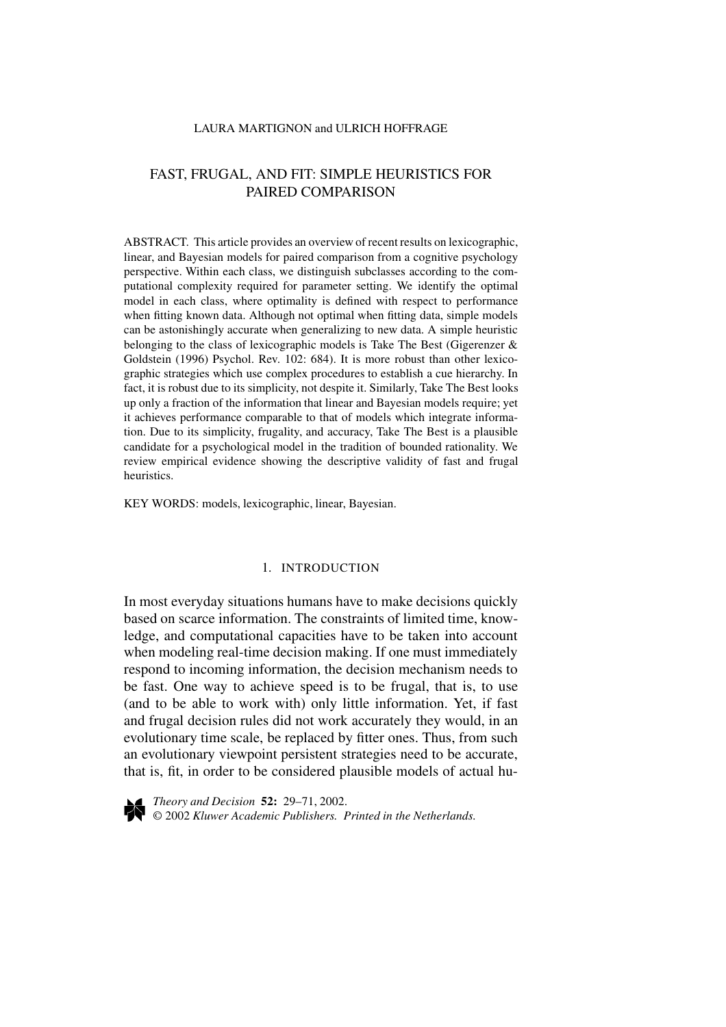### LAURA MARTIGNON and ULRICH HOFFRAGE

# FAST, FRUGAL, AND FIT: SIMPLE HEURISTICS FOR PAIRED COMPARISON

ABSTRACT. This article provides an overview of recent results on lexicographic, linear, and Bayesian models for paired comparison from a cognitive psychology perspective. Within each class, we distinguish subclasses according to the computational complexity required for parameter setting. We identify the optimal model in each class, where optimality is defined with respect to performance when fitting known data. Although not optimal when fitting data, simple models can be astonishingly accurate when generalizing to new data. A simple heuristic belonging to the class of lexicographic models is Take The Best (Gigerenzer & Goldstein (1996) Psychol. Rev. 102: 684). It is more robust than other lexicographic strategies which use complex procedures to establish a cue hierarchy. In fact, it is robust due to its simplicity, not despite it. Similarly, Take The Best looks up only a fraction of the information that linear and Bayesian models require; yet it achieves performance comparable to that of models which integrate information. Due to its simplicity, frugality, and accuracy, Take The Best is a plausible candidate for a psychological model in the tradition of bounded rationality. We review empirical evidence showing the descriptive validity of fast and frugal heuristics.

KEY WORDS: models, lexicographic, linear, Bayesian.

# 1. INTRODUCTION

In most everyday situations humans have to make decisions quickly based on scarce information. The constraints of limited time, knowledge, and computational capacities have to be taken into account when modeling real-time decision making. If one must immediately respond to incoming information, the decision mechanism needs to be fast. One way to achieve speed is to be frugal, that is, to use (and to be able to work with) only little information. Yet, if fast and frugal decision rules did not work accurately they would, in an evolutionary time scale, be replaced by fitter ones. Thus, from such an evolutionary viewpoint persistent strategies need to be accurate, that is, fit, in order to be considered plausible models of actual hu-



*Theory and Decision* **52:** 29–71, 2002. © 2002 *Kluwer Academic Publishers. Printed in the Netherlands.*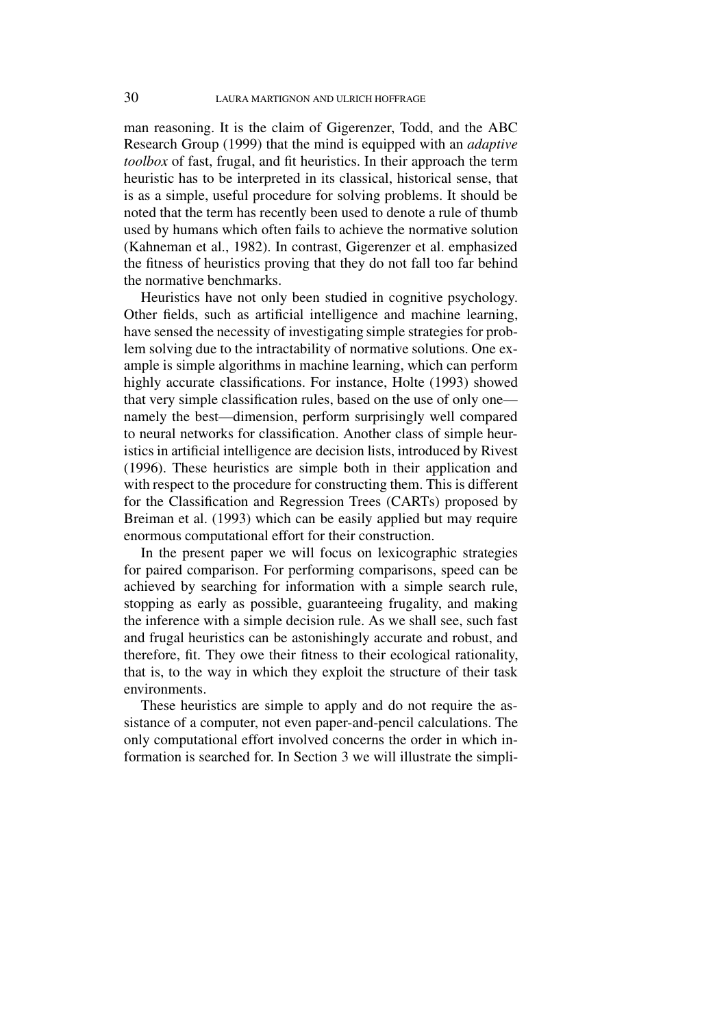man reasoning. It is the claim of Gigerenzer, Todd, and the ABC Research Group (1999) that the mind is equipped with an *adaptive toolbox* of fast, frugal, and fit heuristics. In their approach the term heuristic has to be interpreted in its classical, historical sense, that is as a simple, useful procedure for solving problems. It should be noted that the term has recently been used to denote a rule of thumb used by humans which often fails to achieve the normative solution (Kahneman et al., 1982). In contrast, Gigerenzer et al. emphasized the fitness of heuristics proving that they do not fall too far behind the normative benchmarks.

Heuristics have not only been studied in cognitive psychology. Other fields, such as artificial intelligence and machine learning, have sensed the necessity of investigating simple strategies for problem solving due to the intractability of normative solutions. One example is simple algorithms in machine learning, which can perform highly accurate classifications. For instance, Holte (1993) showed that very simple classification rules, based on the use of only one namely the best—dimension, perform surprisingly well compared to neural networks for classification. Another class of simple heuristics in artificial intelligence are decision lists, introduced by Rivest (1996). These heuristics are simple both in their application and with respect to the procedure for constructing them. This is different for the Classification and Regression Trees (CARTs) proposed by Breiman et al. (1993) which can be easily applied but may require enormous computational effort for their construction.

In the present paper we will focus on lexicographic strategies for paired comparison. For performing comparisons, speed can be achieved by searching for information with a simple search rule, stopping as early as possible, guaranteeing frugality, and making the inference with a simple decision rule. As we shall see, such fast and frugal heuristics can be astonishingly accurate and robust, and therefore, fit. They owe their fitness to their ecological rationality, that is, to the way in which they exploit the structure of their task environments.

These heuristics are simple to apply and do not require the assistance of a computer, not even paper-and-pencil calculations. The only computational effort involved concerns the order in which information is searched for. In Section 3 we will illustrate the simpli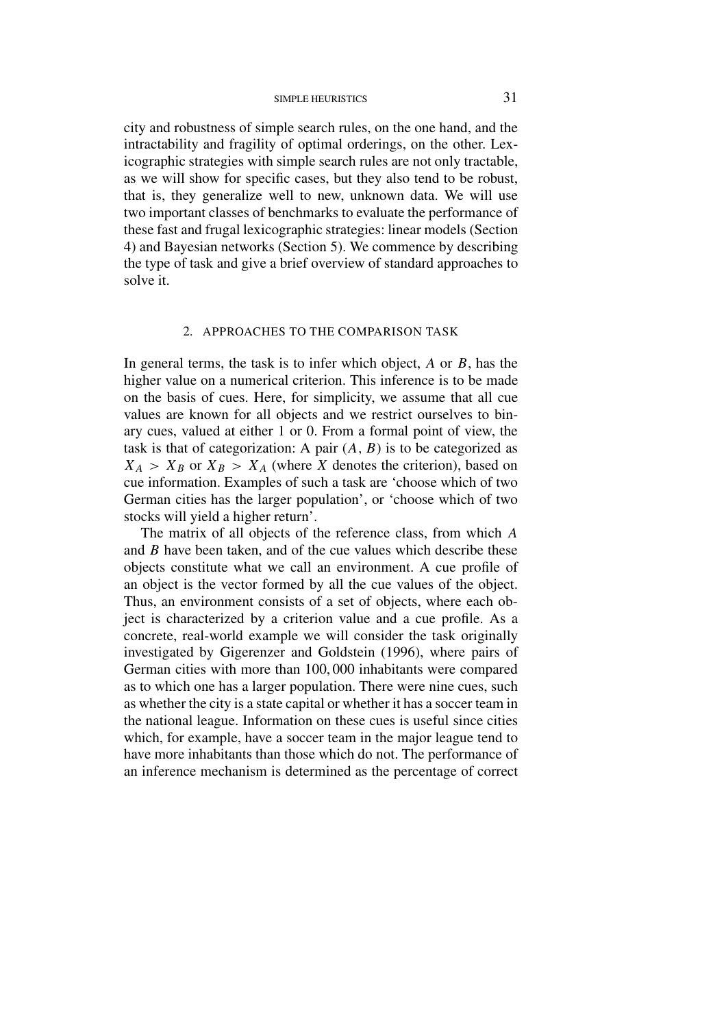city and robustness of simple search rules, on the one hand, and the intractability and fragility of optimal orderings, on the other. Lexicographic strategies with simple search rules are not only tractable, as we will show for specific cases, but they also tend to be robust, that is, they generalize well to new, unknown data. We will use two important classes of benchmarks to evaluate the performance of these fast and frugal lexicographic strategies: linear models (Section 4) and Bayesian networks (Section 5). We commence by describing the type of task and give a brief overview of standard approaches to solve it.

### 2. APPROACHES TO THE COMPARISON TASK

In general terms, the task is to infer which object,  $A$  or  $B$ , has the higher value on a numerical criterion. This inference is to be made on the basis of cues. Here, for simplicity, we assume that all cue values are known for all objects and we restrict ourselves to binary cues, valued at either 1 or 0. From a formal point of view, the task is that of categorization: A pair  $(A, B)$  is to be categorized as  $X_A > X_B$  or  $X_B > X_A$  (where X denotes the criterion), based on cue information. Examples of such a task are 'choose which of two German cities has the larger population', or 'choose which of two stocks will yield a higher return'.

The matrix of all objects of the reference class, from which A and  $B$  have been taken, and of the cue values which describe these objects constitute what we call an environment. A cue profile of an object is the vector formed by all the cue values of the object. Thus, an environment consists of a set of objects, where each object is characterized by a criterion value and a cue profile. As a concrete, real-world example we will consider the task originally investigated by Gigerenzer and Goldstein (1996), where pairs of German cities with more than 100, 000 inhabitants were compared as to which one has a larger population. There were nine cues, such as whether the city is a state capital or whether it has a soccer team in the national league. Information on these cues is useful since cities which, for example, have a soccer team in the major league tend to have more inhabitants than those which do not. The performance of an inference mechanism is determined as the percentage of correct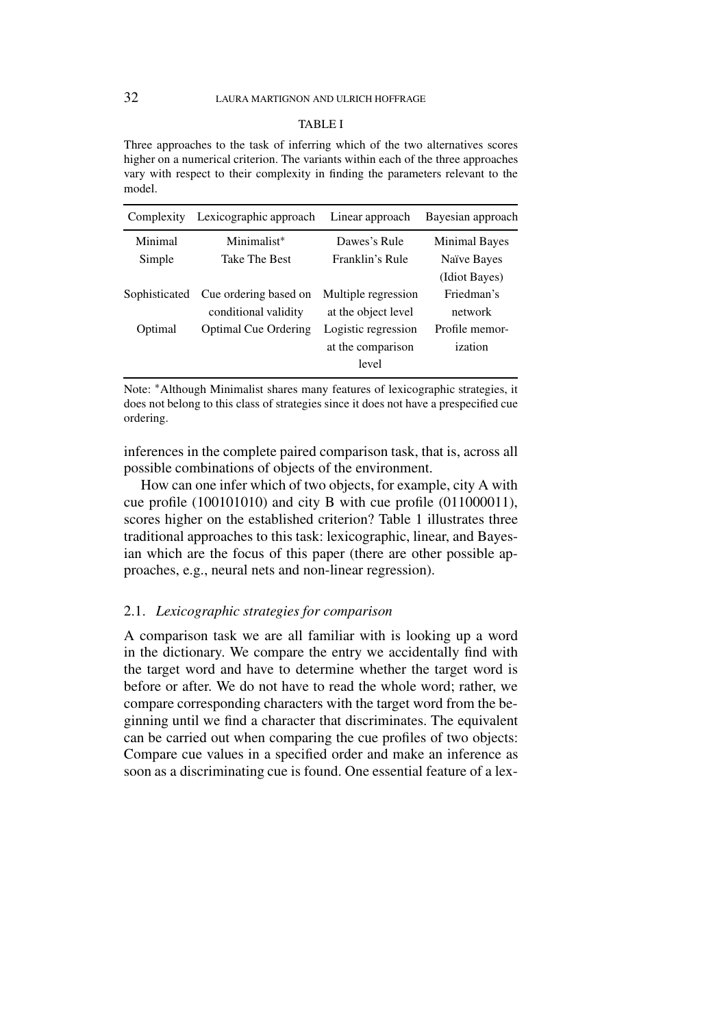#### TABLE I

Three approaches to the task of inferring which of the two alternatives scores higher on a numerical criterion. The variants within each of the three approaches vary with respect to their complexity in finding the parameters relevant to the model.

| Complexity    | Lexicographic approach | Linear approach     | Bayesian approach    |
|---------------|------------------------|---------------------|----------------------|
| Minimal       | Minimalist*            | Dawes's Rule        | <b>Minimal Bayes</b> |
| Simple        | <b>Take The Best</b>   | Franklin's Rule     | Naïve Bayes          |
|               |                        |                     | (Idiot Bayes)        |
| Sophisticated | Cue ordering based on  | Multiple regression | Friedman's           |
|               | conditional validity   | at the object level | network              |
| Optimal       | Optimal Cue Ordering   | Logistic regression | Profile memor-       |
|               |                        | at the comparison   | ization              |
|               |                        | level               |                      |

Note: ∗Although Minimalist shares many features of lexicographic strategies, it does not belong to this class of strategies since it does not have a prespecified cue ordering.

inferences in the complete paired comparison task, that is, across all possible combinations of objects of the environment.

How can one infer which of two objects, for example, city A with cue profile (100101010) and city B with cue profile (011000011), scores higher on the established criterion? Table 1 illustrates three traditional approaches to this task: lexicographic, linear, and Bayesian which are the focus of this paper (there are other possible approaches, e.g., neural nets and non-linear regression).

### 2.1. *Lexicographic strategies for comparison*

A comparison task we are all familiar with is looking up a word in the dictionary. We compare the entry we accidentally find with the target word and have to determine whether the target word is before or after. We do not have to read the whole word; rather, we compare corresponding characters with the target word from the beginning until we find a character that discriminates. The equivalent can be carried out when comparing the cue profiles of two objects: Compare cue values in a specified order and make an inference as soon as a discriminating cue is found. One essential feature of a lex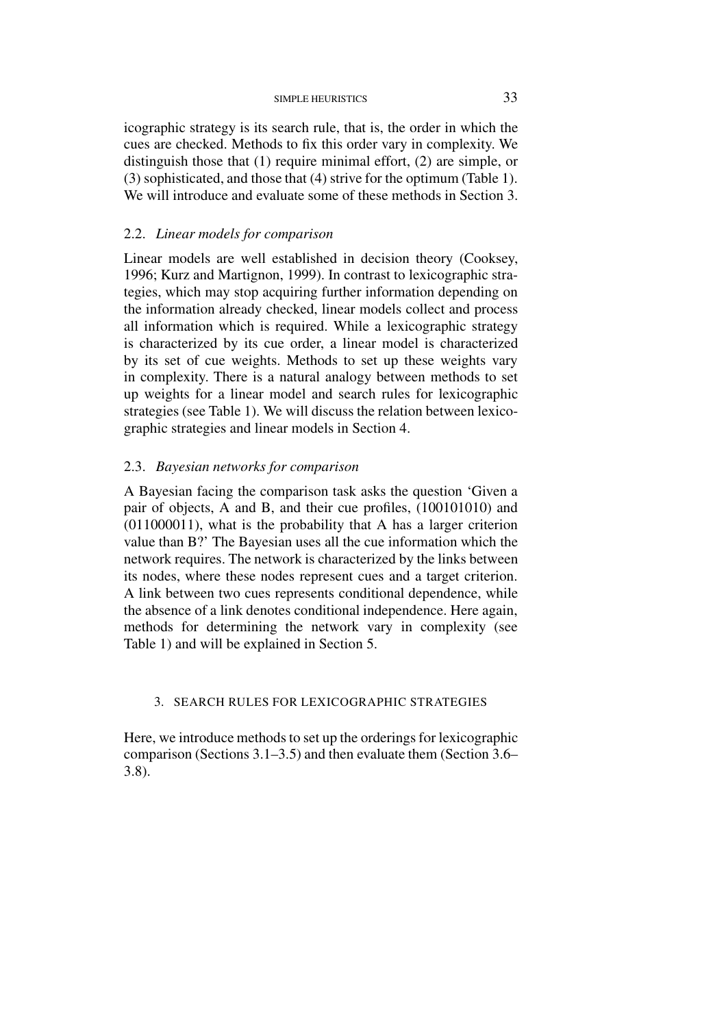icographic strategy is its search rule, that is, the order in which the cues are checked. Methods to fix this order vary in complexity. We distinguish those that (1) require minimal effort, (2) are simple, or (3) sophisticated, and those that (4) strive for the optimum (Table 1). We will introduce and evaluate some of these methods in Section 3.

### 2.2. *Linear models for comparison*

Linear models are well established in decision theory (Cooksey, 1996; Kurz and Martignon, 1999). In contrast to lexicographic strategies, which may stop acquiring further information depending on the information already checked, linear models collect and process all information which is required. While a lexicographic strategy is characterized by its cue order, a linear model is characterized by its set of cue weights. Methods to set up these weights vary in complexity. There is a natural analogy between methods to set up weights for a linear model and search rules for lexicographic strategies (see Table 1). We will discuss the relation between lexicographic strategies and linear models in Section 4.

### 2.3. *Bayesian networks for comparison*

A Bayesian facing the comparison task asks the question 'Given a pair of objects, A and B, and their cue profiles, (100101010) and (011000011), what is the probability that A has a larger criterion value than B?' The Bayesian uses all the cue information which the network requires. The network is characterized by the links between its nodes, where these nodes represent cues and a target criterion. A link between two cues represents conditional dependence, while the absence of a link denotes conditional independence. Here again, methods for determining the network vary in complexity (see Table 1) and will be explained in Section 5.

### 3. SEARCH RULES FOR LEXICOGRAPHIC STRATEGIES

Here, we introduce methods to set up the orderings for lexicographic comparison (Sections 3.1–3.5) and then evaluate them (Section 3.6– 3.8).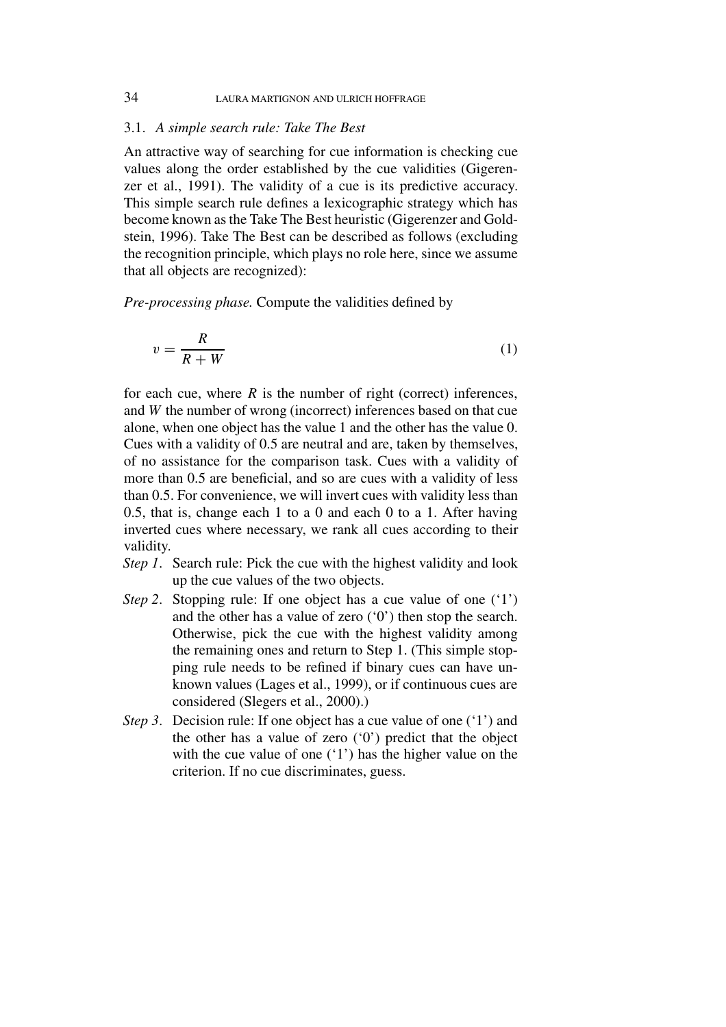### 34 LAURA MARTIGNON AND ULRICH HOFFRAGE

### 3.1. *A simple search rule: Take The Best*

An attractive way of searching for cue information is checking cue values along the order established by the cue validities (Gigerenzer et al., 1991). The validity of a cue is its predictive accuracy. This simple search rule defines a lexicographic strategy which has become known as the Take The Best heuristic (Gigerenzer and Goldstein, 1996). Take The Best can be described as follows (excluding the recognition principle, which plays no role here, since we assume that all objects are recognized):

*Pre-processing phase.* Compute the validities defined by

$$
v = \frac{R}{R+W}
$$
 (1)

for each cue, where  $R$  is the number of right (correct) inferences, and W the number of wrong (incorrect) inferences based on that cue alone, when one object has the value 1 and the other has the value 0. Cues with a validity of 0.5 are neutral and are, taken by themselves, of no assistance for the comparison task. Cues with a validity of more than 0.5 are beneficial, and so are cues with a validity of less than 0.5. For convenience, we will invert cues with validity less than 0.5, that is, change each 1 to a 0 and each 0 to a 1. After having inverted cues where necessary, we rank all cues according to their validity.

- *Step 1.* Search rule: Pick the cue with the highest validity and look up the cue values of the two objects.
- *Step 2.* Stopping rule: If one object has a cue value of one ('1') and the other has a value of zero ('0') then stop the search. Otherwise, pick the cue with the highest validity among the remaining ones and return to Step 1. (This simple stopping rule needs to be refined if binary cues can have unknown values (Lages et al., 1999), or if continuous cues are considered (Slegers et al., 2000).)
- *Step 3.* Decision rule: If one object has a cue value of one ('1') and the other has a value of zero  $(0)$  predict that the object with the cue value of one ('1') has the higher value on the criterion. If no cue discriminates, guess.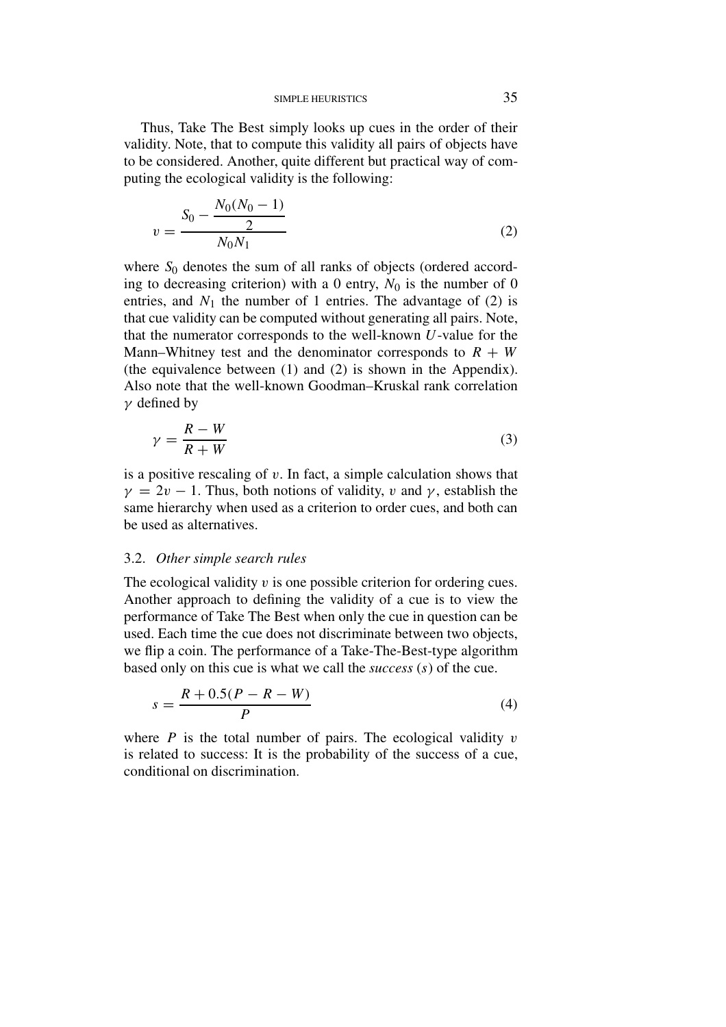Thus, Take The Best simply looks up cues in the order of their validity. Note, that to compute this validity all pairs of objects have to be considered. Another, quite different but practical way of computing the ecological validity is the following:

$$
v = \frac{S_0 - \frac{N_0(N_0 - 1)}{2}}{N_0 N_1}
$$
 (2)

where  $S_0$  denotes the sum of all ranks of objects (ordered according to decreasing criterion) with a 0 entry,  $N_0$  is the number of 0 entries, and  $N_1$  the number of 1 entries. The advantage of (2) is that cue validity can be computed without generating all pairs. Note, that the numerator corresponds to the well-known U-value for the Mann–Whitney test and the denominator corresponds to  $R + W$ (the equivalence between (1) and (2) is shown in the Appendix). Also note that the well-known Goodman–Kruskal rank correlation  $\nu$  defined by

$$
\gamma = \frac{R - W}{R + W} \tag{3}
$$

is a positive rescaling of  $v$ . In fact, a simple calculation shows that  $\gamma = 2v - 1$ . Thus, both notions of validity, v and  $\gamma$ , establish the same hierarchy when used as a criterion to order cues, and both can be used as alternatives.

### 3.2. *Other simple search rules*

The ecological validity  $v$  is one possible criterion for ordering cues. Another approach to defining the validity of a cue is to view the performance of Take The Best when only the cue in question can be used. Each time the cue does not discriminate between two objects, we flip a coin. The performance of a Take-The-Best-type algorithm based only on this cue is what we call the *success* (s) of the cue.

$$
s = \frac{R + 0.5(P - R - W)}{P} \tag{4}
$$

where  $P$  is the total number of pairs. The ecological validity  $v$ is related to success: It is the probability of the success of a cue, conditional on discrimination.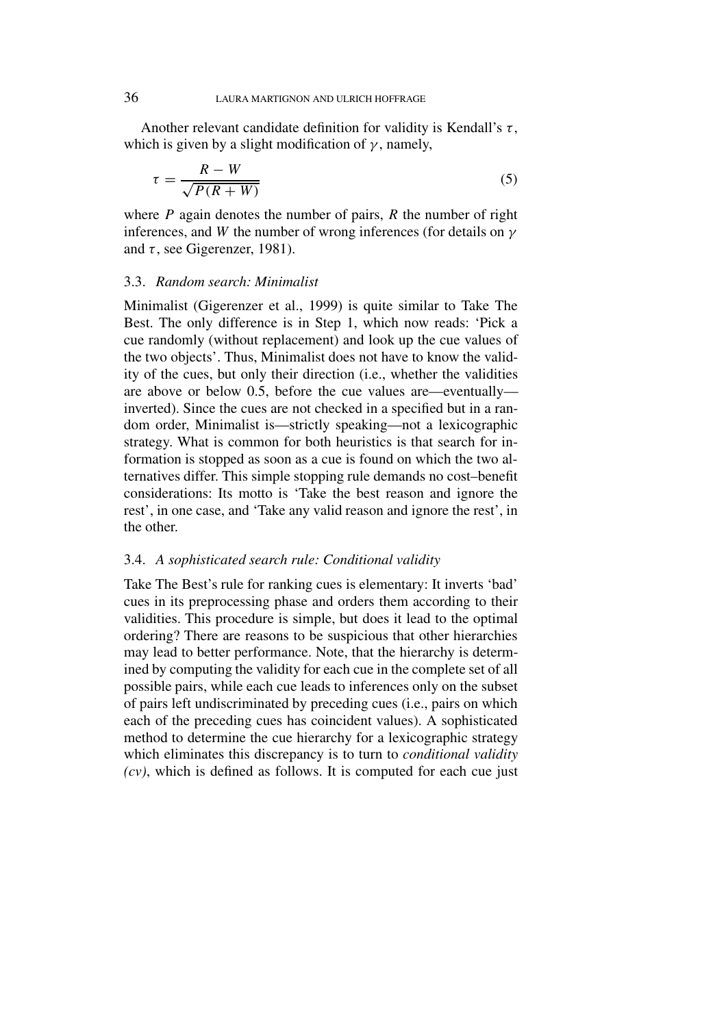Another relevant candidate definition for validity is Kendall's  $\tau$ , which is given by a slight modification of  $\gamma$ , namely,

$$
\tau = \frac{R - W}{\sqrt{P(R + W)}}
$$
\n(5)

where  $P$  again denotes the number of pairs,  $R$  the number of right inferences, and W the number of wrong inferences (for details on  $\gamma$ ) and  $\tau$ , see Gigerenzer, 1981).

### 3.3. *Random search: Minimalist*

Minimalist (Gigerenzer et al., 1999) is quite similar to Take The Best. The only difference is in Step 1, which now reads: 'Pick a cue randomly (without replacement) and look up the cue values of the two objects'. Thus, Minimalist does not have to know the validity of the cues, but only their direction (i.e., whether the validities are above or below 0.5, before the cue values are—eventually inverted). Since the cues are not checked in a specified but in a random order, Minimalist is—strictly speaking—not a lexicographic strategy. What is common for both heuristics is that search for information is stopped as soon as a cue is found on which the two alternatives differ. This simple stopping rule demands no cost–benefit considerations: Its motto is 'Take the best reason and ignore the rest', in one case, and 'Take any valid reason and ignore the rest', in the other.

### 3.4. *A sophisticated search rule: Conditional validity*

Take The Best's rule for ranking cues is elementary: It inverts 'bad' cues in its preprocessing phase and orders them according to their validities. This procedure is simple, but does it lead to the optimal ordering? There are reasons to be suspicious that other hierarchies may lead to better performance. Note, that the hierarchy is determined by computing the validity for each cue in the complete set of all possible pairs, while each cue leads to inferences only on the subset of pairs left undiscriminated by preceding cues (i.e., pairs on which each of the preceding cues has coincident values). A sophisticated method to determine the cue hierarchy for a lexicographic strategy which eliminates this discrepancy is to turn to *conditional validity (cv)*, which is defined as follows. It is computed for each cue just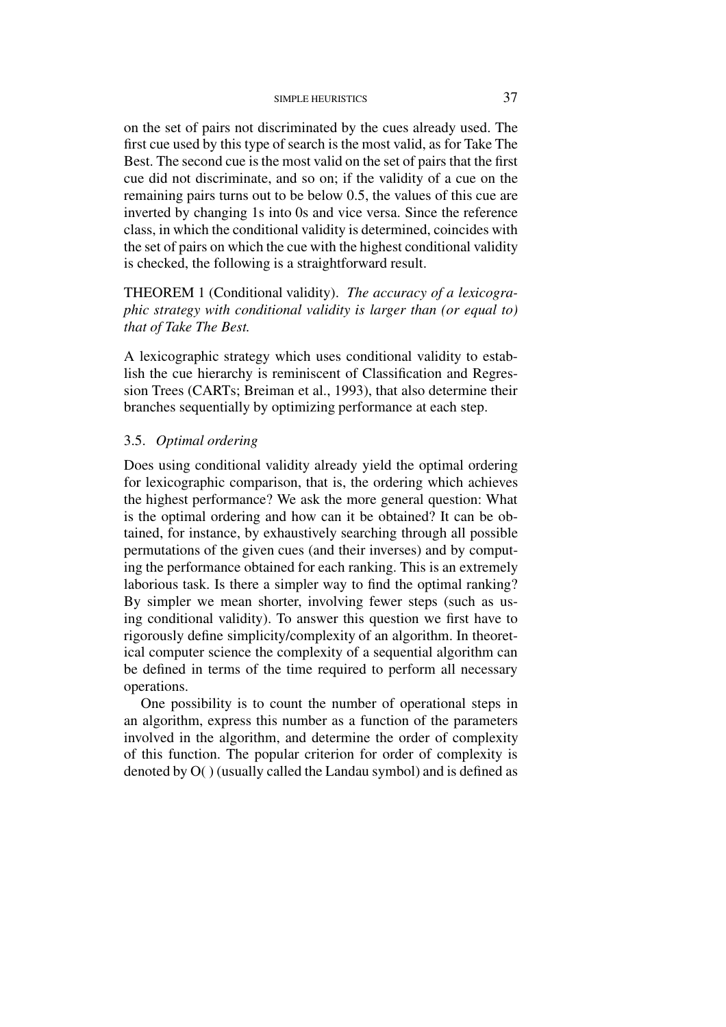on the set of pairs not discriminated by the cues already used. The first cue used by this type of search is the most valid, as for Take The Best. The second cue is the most valid on the set of pairs that the first cue did not discriminate, and so on; if the validity of a cue on the remaining pairs turns out to be below 0.5, the values of this cue are inverted by changing 1s into 0s and vice versa. Since the reference class, in which the conditional validity is determined, coincides with the set of pairs on which the cue with the highest conditional validity is checked, the following is a straightforward result.

THEOREM 1 (Conditional validity). *The accuracy of a lexicographic strategy with conditional validity is larger than (or equal to) that of Take The Best.*

A lexicographic strategy which uses conditional validity to establish the cue hierarchy is reminiscent of Classification and Regression Trees (CARTs; Breiman et al., 1993), that also determine their branches sequentially by optimizing performance at each step.

### 3.5. *Optimal ordering*

Does using conditional validity already yield the optimal ordering for lexicographic comparison, that is, the ordering which achieves the highest performance? We ask the more general question: What is the optimal ordering and how can it be obtained? It can be obtained, for instance, by exhaustively searching through all possible permutations of the given cues (and their inverses) and by computing the performance obtained for each ranking. This is an extremely laborious task. Is there a simpler way to find the optimal ranking? By simpler we mean shorter, involving fewer steps (such as using conditional validity). To answer this question we first have to rigorously define simplicity/complexity of an algorithm. In theoretical computer science the complexity of a sequential algorithm can be defined in terms of the time required to perform all necessary operations.

One possibility is to count the number of operational steps in an algorithm, express this number as a function of the parameters involved in the algorithm, and determine the order of complexity of this function. The popular criterion for order of complexity is denoted by O( ) (usually called the Landau symbol) and is defined as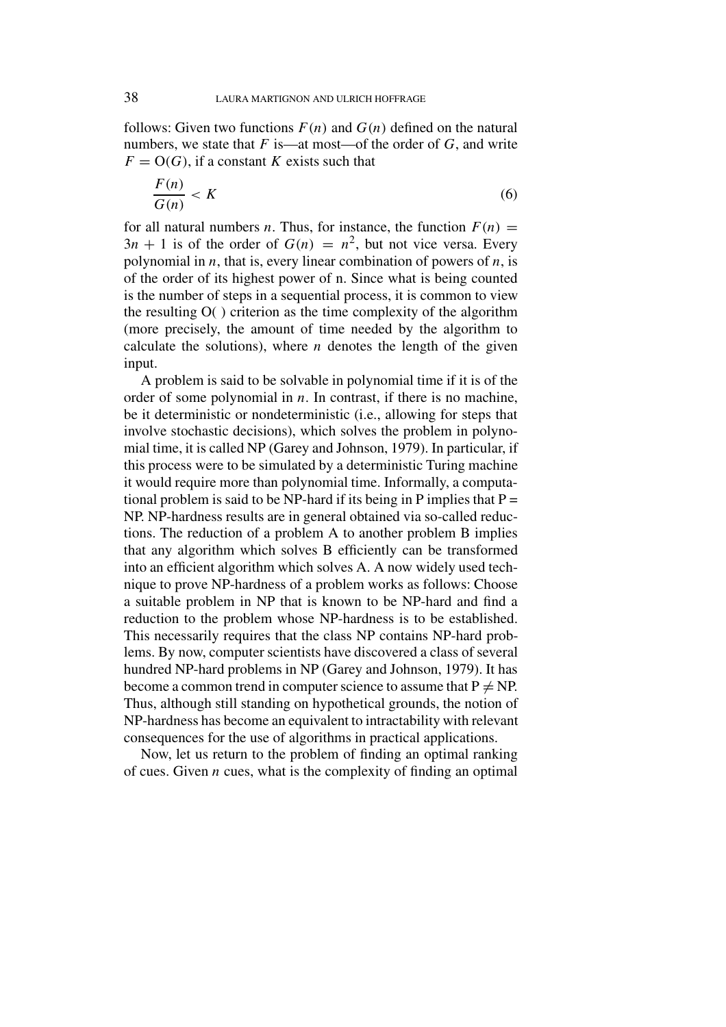follows: Given two functions  $F(n)$  and  $G(n)$  defined on the natural numbers, we state that  $F$  is—at most—of the order of  $G$ , and write  $F = O(G)$ , if a constant K exists such that

$$
\frac{F(n)}{G(n)} < K \tag{6}
$$

for all natural numbers *n*. Thus, for instance, the function  $F(n) =$  $3n + 1$  is of the order of  $G(n) = n^2$ , but not vice versa. Every polynomial in *n*, that is, every linear combination of powers of *n*, is of the order of its highest power of n. Since what is being counted is the number of steps in a sequential process, it is common to view the resulting O( ) criterion as the time complexity of the algorithm (more precisely, the amount of time needed by the algorithm to calculate the solutions), where  $n$  denotes the length of the given input.

A problem is said to be solvable in polynomial time if it is of the order of some polynomial in  $n$ . In contrast, if there is no machine, be it deterministic or nondeterministic (i.e., allowing for steps that involve stochastic decisions), which solves the problem in polynomial time, it is called NP (Garey and Johnson, 1979). In particular, if this process were to be simulated by a deterministic Turing machine it would require more than polynomial time. Informally, a computational problem is said to be NP-hard if its being in P implies that  $P =$ NP. NP-hardness results are in general obtained via so-called reductions. The reduction of a problem A to another problem B implies that any algorithm which solves B efficiently can be transformed into an efficient algorithm which solves A. A now widely used technique to prove NP-hardness of a problem works as follows: Choose a suitable problem in NP that is known to be NP-hard and find a reduction to the problem whose NP-hardness is to be established. This necessarily requires that the class NP contains NP-hard problems. By now, computer scientists have discovered a class of several hundred NP-hard problems in NP (Garey and Johnson, 1979). It has become a common trend in computer science to assume that  $P \neq NP$ . Thus, although still standing on hypothetical grounds, the notion of NP-hardness has become an equivalent to intractability with relevant consequences for the use of algorithms in practical applications.

Now, let us return to the problem of finding an optimal ranking of cues. Given  $n$  cues, what is the complexity of finding an optimal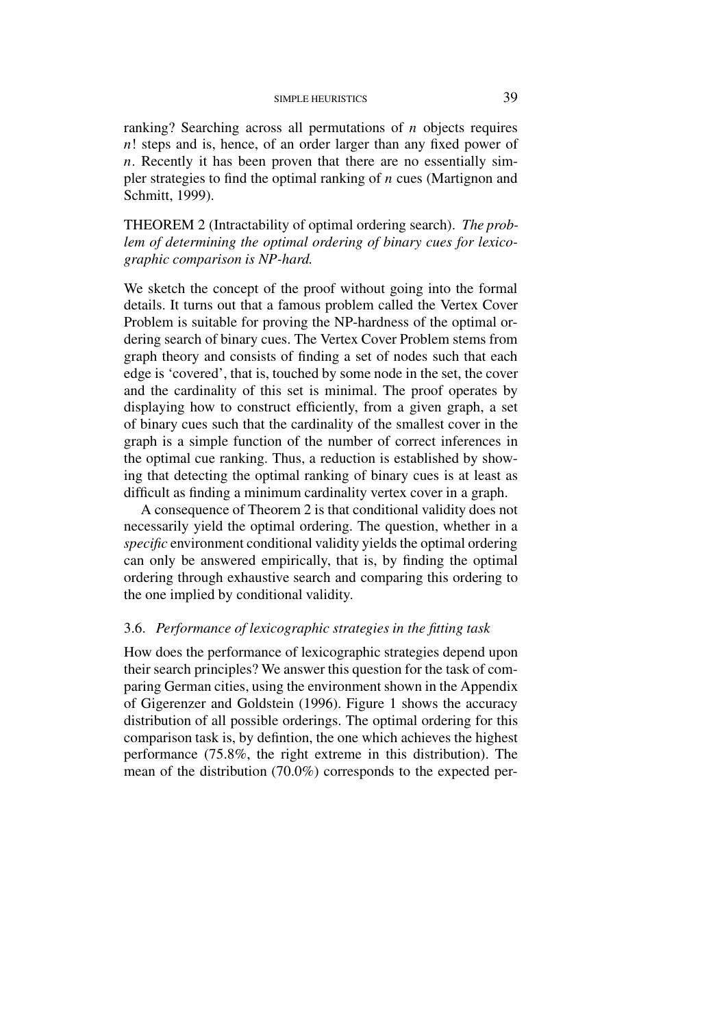ranking? Searching across all permutations of  $n$  objects requires  $n!$  steps and is, hence, of an order larger than any fixed power of  $n.$  Recently it has been proven that there are no essentially simpler strategies to find the optimal ranking of n cues (Martignon and Schmitt, 1999).

THEOREM 2 (Intractability of optimal ordering search). *The problem of determining the optimal ordering of binary cues for lexicographic comparison is NP-hard.*

We sketch the concept of the proof without going into the formal details. It turns out that a famous problem called the Vertex Cover Problem is suitable for proving the NP-hardness of the optimal ordering search of binary cues. The Vertex Cover Problem stems from graph theory and consists of finding a set of nodes such that each edge is 'covered', that is, touched by some node in the set, the cover and the cardinality of this set is minimal. The proof operates by displaying how to construct efficiently, from a given graph, a set of binary cues such that the cardinality of the smallest cover in the graph is a simple function of the number of correct inferences in the optimal cue ranking. Thus, a reduction is established by showing that detecting the optimal ranking of binary cues is at least as difficult as finding a minimum cardinality vertex cover in a graph.

A consequence of Theorem 2 is that conditional validity does not necessarily yield the optimal ordering. The question, whether in a *specific* environment conditional validity yields the optimal ordering can only be answered empirically, that is, by finding the optimal ordering through exhaustive search and comparing this ordering to the one implied by conditional validity.

# 3.6. *Performance of lexicographic strategies in the fitting task*

How does the performance of lexicographic strategies depend upon their search principles? We answer this question for the task of comparing German cities, using the environment shown in the Appendix of Gigerenzer and Goldstein (1996). Figure 1 shows the accuracy distribution of all possible orderings. The optimal ordering for this comparison task is, by defintion, the one which achieves the highest performance (75.8%, the right extreme in this distribution). The mean of the distribution (70.0%) corresponds to the expected per-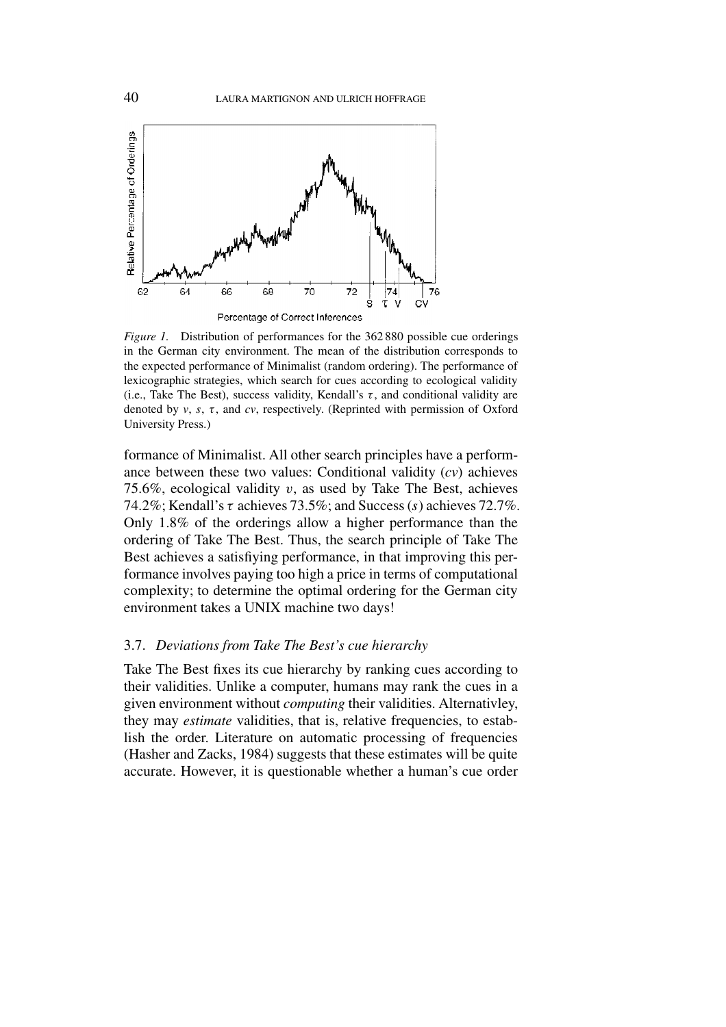

*Figure 1.* Distribution of performances for the 362 880 possible cue orderings in the German city environment. The mean of the distribution corresponds to the expected performance of Minimalist (random ordering). The performance of lexicographic strategies, which search for cues according to ecological validity (i.e., Take The Best), success validity, Kendall's  $\tau$ , and conditional validity are denoted by  $v$ ,  $s$ ,  $\tau$ , and  $cv$ , respectively. (Reprinted with permission of Oxford University Press.)

formance of Minimalist. All other search principles have a performance between these two values: Conditional validity (*cv*) achieves 75.6%, ecological validity  $v$ , as used by Take The Best, achieves 74.2%; Kendall's  $\tau$  achieves 73.5%; and Success (s) achieves 72.7%. Only 1.8% of the orderings allow a higher performance than the ordering of Take The Best. Thus, the search principle of Take The Best achieves a satisfiying performance, in that improving this performance involves paying too high a price in terms of computational complexity; to determine the optimal ordering for the German city environment takes a UNIX machine two days!

### 3.7. *Deviations from Take The Best's cue hierarchy*

Take The Best fixes its cue hierarchy by ranking cues according to their validities. Unlike a computer, humans may rank the cues in a given environment without *computing* their validities. Alternativley, they may *estimate* validities, that is, relative frequencies, to establish the order. Literature on automatic processing of frequencies (Hasher and Zacks, 1984) suggests that these estimates will be quite accurate. However, it is questionable whether a human's cue order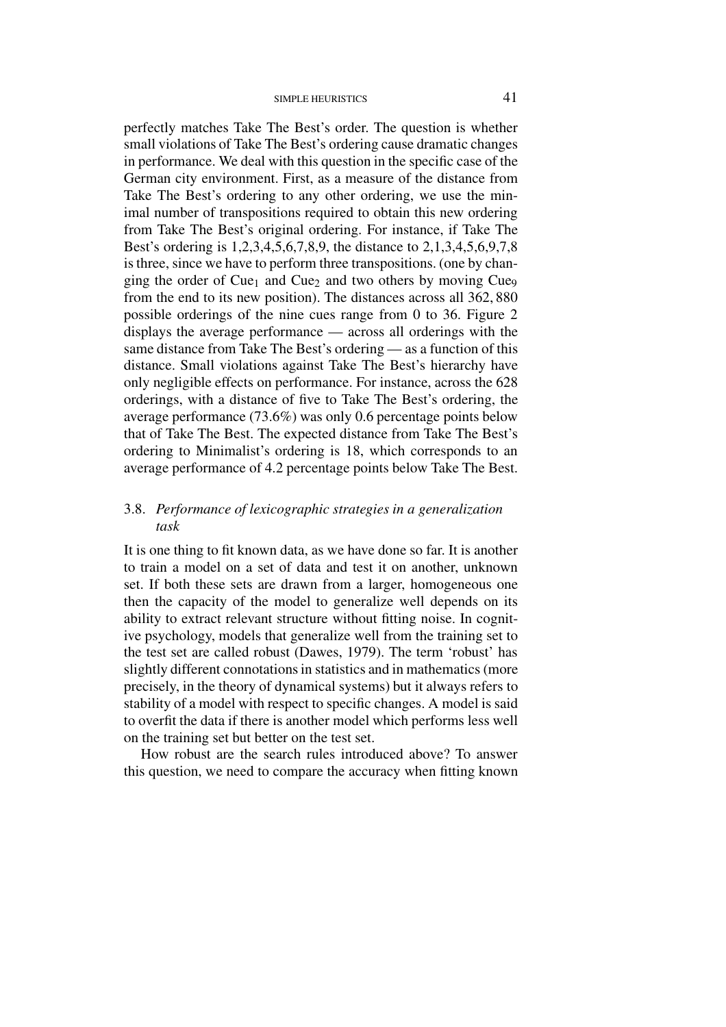SIMPLE HEURISTICS 41

perfectly matches Take The Best's order. The question is whether small violations of Take The Best's ordering cause dramatic changes in performance. We deal with this question in the specific case of the German city environment. First, as a measure of the distance from Take The Best's ordering to any other ordering, we use the minimal number of transpositions required to obtain this new ordering from Take The Best's original ordering. For instance, if Take The Best's ordering is 1,2,3,4,5,6,7,8,9, the distance to 2,1,3,4,5,6,9,7,8 is three, since we have to perform three transpositions. (one by changing the order of  $Cue_1$  and  $Cue_2$  and two others by moving  $Cue_9$ from the end to its new position). The distances across all 362, 880 possible orderings of the nine cues range from 0 to 36. Figure 2 displays the average performance — across all orderings with the same distance from Take The Best's ordering — as a function of this distance. Small violations against Take The Best's hierarchy have only negligible effects on performance. For instance, across the 628 orderings, with a distance of five to Take The Best's ordering, the average performance (73.6%) was only 0.6 percentage points below that of Take The Best. The expected distance from Take The Best's ordering to Minimalist's ordering is 18, which corresponds to an average performance of 4.2 percentage points below Take The Best.

# 3.8. *Performance of lexicographic strategies in a generalization task*

It is one thing to fit known data, as we have done so far. It is another to train a model on a set of data and test it on another, unknown set. If both these sets are drawn from a larger, homogeneous one then the capacity of the model to generalize well depends on its ability to extract relevant structure without fitting noise. In cognitive psychology, models that generalize well from the training set to the test set are called robust (Dawes, 1979). The term 'robust' has slightly different connotations in statistics and in mathematics (more precisely, in the theory of dynamical systems) but it always refers to stability of a model with respect to specific changes. A model is said to overfit the data if there is another model which performs less well on the training set but better on the test set.

How robust are the search rules introduced above? To answer this question, we need to compare the accuracy when fitting known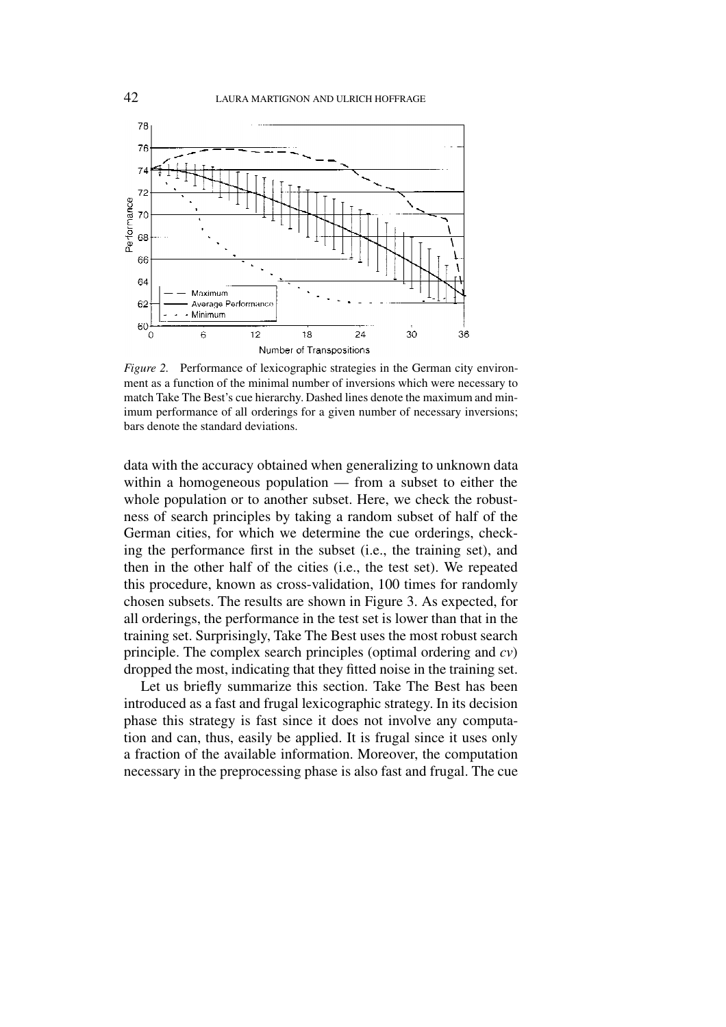

*Figure 2.* Performance of lexicographic strategies in the German city environment as a function of the minimal number of inversions which were necessary to match Take The Best's cue hierarchy. Dashed lines denote the maximum and minimum performance of all orderings for a given number of necessary inversions; bars denote the standard deviations.

data with the accuracy obtained when generalizing to unknown data within a homogeneous population — from a subset to either the whole population or to another subset. Here, we check the robustness of search principles by taking a random subset of half of the German cities, for which we determine the cue orderings, checking the performance first in the subset (i.e., the training set), and then in the other half of the cities (i.e., the test set). We repeated this procedure, known as cross-validation, 100 times for randomly chosen subsets. The results are shown in Figure 3. As expected, for all orderings, the performance in the test set is lower than that in the training set. Surprisingly, Take The Best uses the most robust search principle. The complex search principles (optimal ordering and *cv*) dropped the most, indicating that they fitted noise in the training set.

Let us briefly summarize this section. Take The Best has been introduced as a fast and frugal lexicographic strategy. In its decision phase this strategy is fast since it does not involve any computation and can, thus, easily be applied. It is frugal since it uses only a fraction of the available information. Moreover, the computation necessary in the preprocessing phase is also fast and frugal. The cue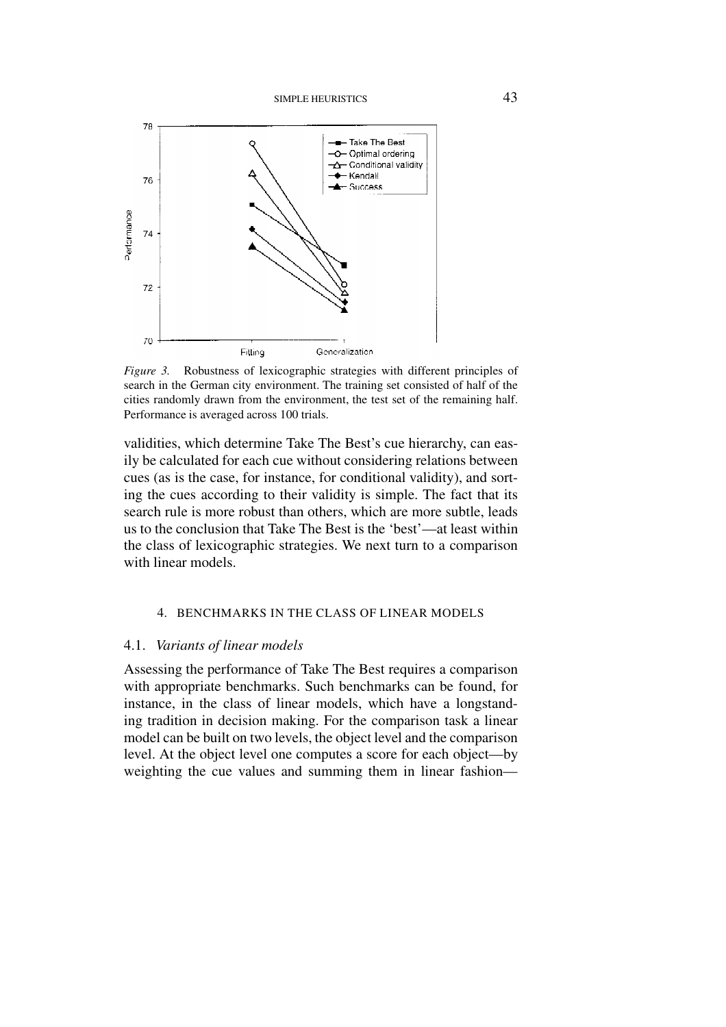

*Figure 3.* Robustness of lexicographic strategies with different principles of search in the German city environment. The training set consisted of half of the cities randomly drawn from the environment, the test set of the remaining half. Performance is averaged across 100 trials.

validities, which determine Take The Best's cue hierarchy, can easily be calculated for each cue without considering relations between cues (as is the case, for instance, for conditional validity), and sorting the cues according to their validity is simple. The fact that its search rule is more robust than others, which are more subtle, leads us to the conclusion that Take The Best is the 'best'—at least within the class of lexicographic strategies. We next turn to a comparison with linear models.

### 4. BENCHMARKS IN THE CLASS OF LINEAR MODELS

### 4.1. *Variants of linear models*

Assessing the performance of Take The Best requires a comparison with appropriate benchmarks. Such benchmarks can be found, for instance, in the class of linear models, which have a longstanding tradition in decision making. For the comparison task a linear model can be built on two levels, the object level and the comparison level. At the object level one computes a score for each object—by weighting the cue values and summing them in linear fashion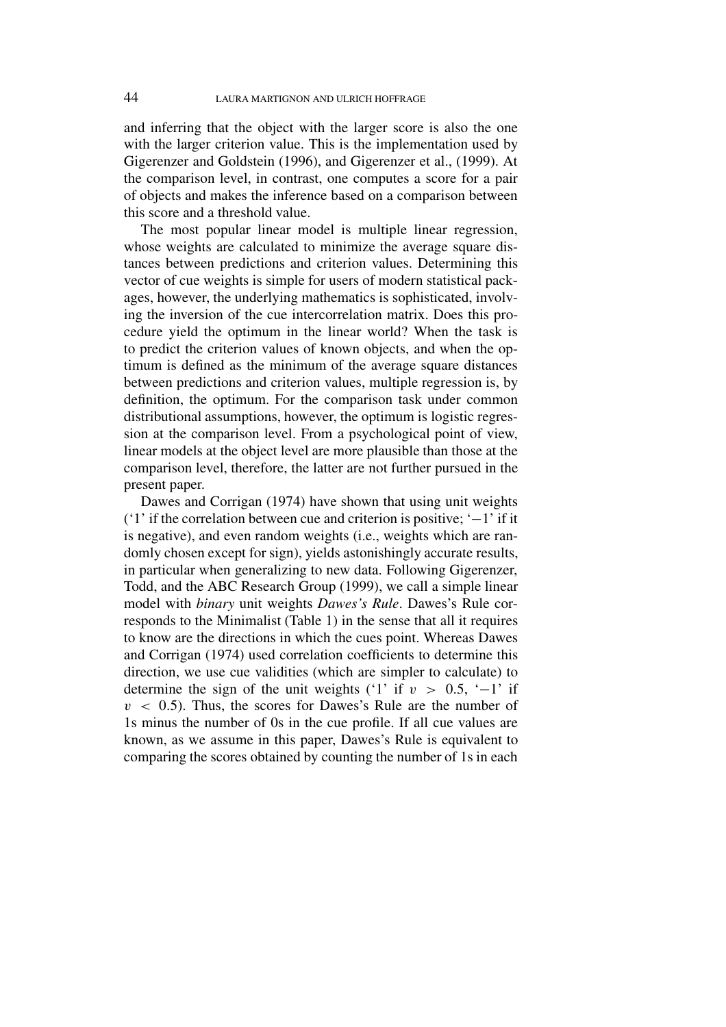and inferring that the object with the larger score is also the one with the larger criterion value. This is the implementation used by Gigerenzer and Goldstein (1996), and Gigerenzer et al., (1999). At the comparison level, in contrast, one computes a score for a pair of objects and makes the inference based on a comparison between this score and a threshold value.

The most popular linear model is multiple linear regression, whose weights are calculated to minimize the average square distances between predictions and criterion values. Determining this vector of cue weights is simple for users of modern statistical packages, however, the underlying mathematics is sophisticated, involving the inversion of the cue intercorrelation matrix. Does this procedure yield the optimum in the linear world? When the task is to predict the criterion values of known objects, and when the optimum is defined as the minimum of the average square distances between predictions and criterion values, multiple regression is, by definition, the optimum. For the comparison task under common distributional assumptions, however, the optimum is logistic regression at the comparison level. From a psychological point of view, linear models at the object level are more plausible than those at the comparison level, therefore, the latter are not further pursued in the present paper.

Dawes and Corrigan (1974) have shown that using unit weights ('1' if the correlation between cue and criterion is positive; '−1' if it is negative), and even random weights (i.e., weights which are randomly chosen except for sign), yields astonishingly accurate results, in particular when generalizing to new data. Following Gigerenzer, Todd, and the ABC Research Group (1999), we call a simple linear model with *binary* unit weights *Dawes's Rule*. Dawes's Rule corresponds to the Minimalist (Table 1) in the sense that all it requires to know are the directions in which the cues point. Whereas Dawes and Corrigan (1974) used correlation coefficients to determine this direction, we use cue validities (which are simpler to calculate) to determine the sign of the unit weights ('1' if  $v > 0.5$ , '-1' if  $v < 0.5$ ). Thus, the scores for Dawes's Rule are the number of 1s minus the number of 0s in the cue profile. If all cue values are known, as we assume in this paper, Dawes's Rule is equivalent to comparing the scores obtained by counting the number of 1s in each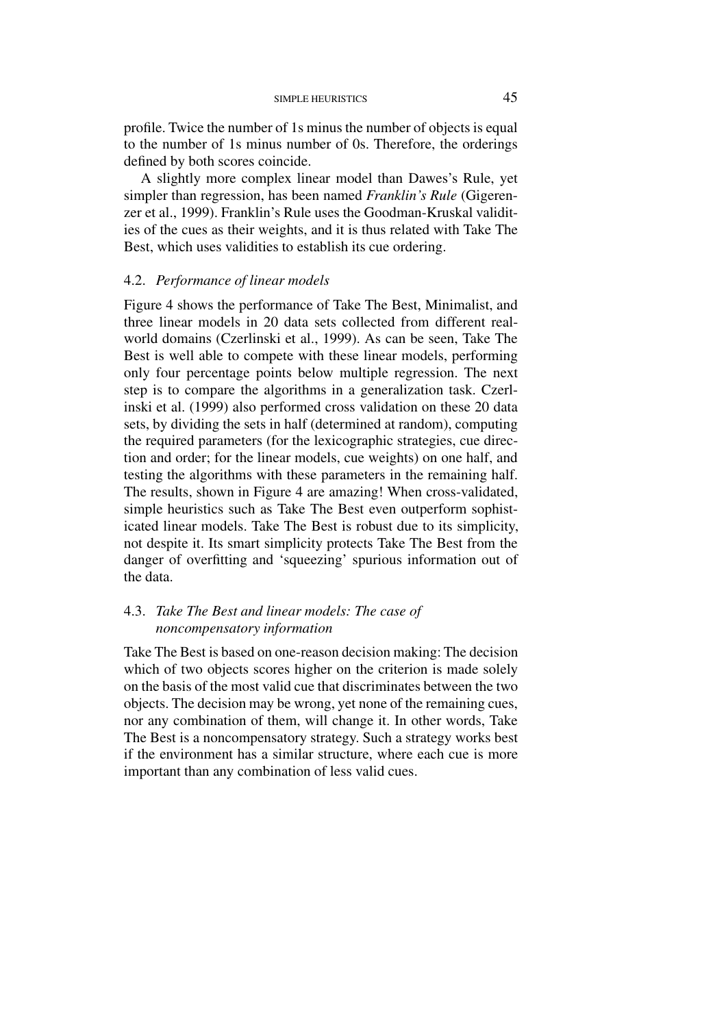profile. Twice the number of 1s minus the number of objects is equal to the number of 1s minus number of 0s. Therefore, the orderings defined by both scores coincide.

A slightly more complex linear model than Dawes's Rule, yet simpler than regression, has been named *Franklin's Rule* (Gigerenzer et al., 1999). Franklin's Rule uses the Goodman-Kruskal validities of the cues as their weights, and it is thus related with Take The Best, which uses validities to establish its cue ordering.

### 4.2. *Performance of linear models*

Figure 4 shows the performance of Take The Best, Minimalist, and three linear models in 20 data sets collected from different realworld domains (Czerlinski et al., 1999). As can be seen, Take The Best is well able to compete with these linear models, performing only four percentage points below multiple regression. The next step is to compare the algorithms in a generalization task. Czerlinski et al. (1999) also performed cross validation on these 20 data sets, by dividing the sets in half (determined at random), computing the required parameters (for the lexicographic strategies, cue direction and order; for the linear models, cue weights) on one half, and testing the algorithms with these parameters in the remaining half. The results, shown in Figure 4 are amazing! When cross-validated, simple heuristics such as Take The Best even outperform sophisticated linear models. Take The Best is robust due to its simplicity, not despite it. Its smart simplicity protects Take The Best from the danger of overfitting and 'squeezing' spurious information out of the data.

# 4.3. *Take The Best and linear models: The case of noncompensatory information*

Take The Best is based on one-reason decision making: The decision which of two objects scores higher on the criterion is made solely on the basis of the most valid cue that discriminates between the two objects. The decision may be wrong, yet none of the remaining cues, nor any combination of them, will change it. In other words, Take The Best is a noncompensatory strategy. Such a strategy works best if the environment has a similar structure, where each cue is more important than any combination of less valid cues.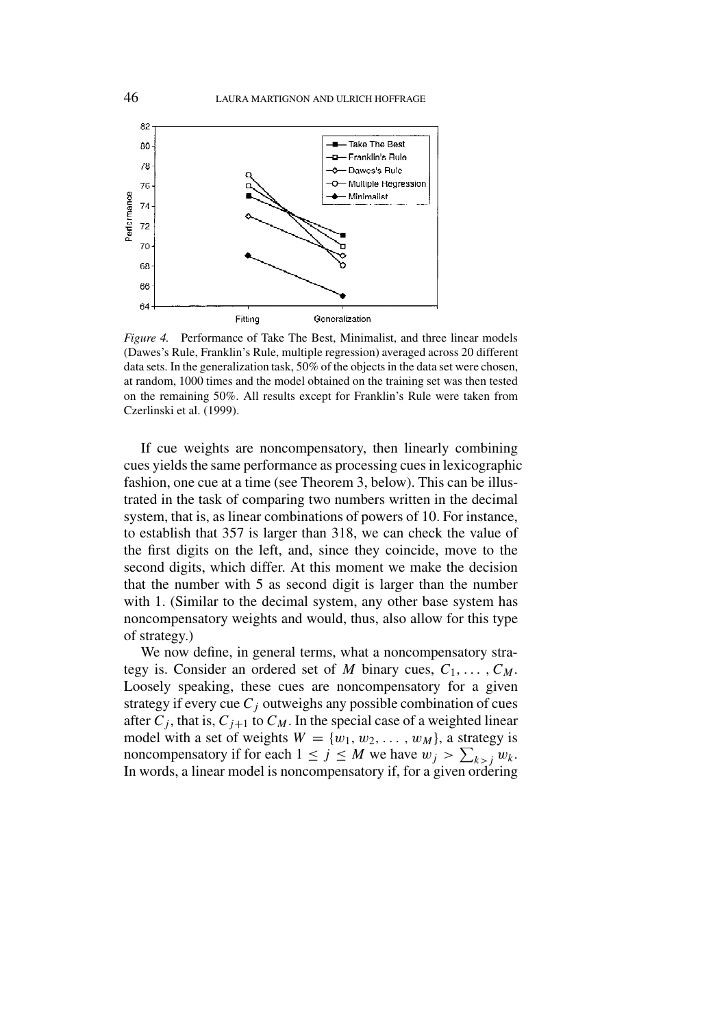

*Figure 4.* Performance of Take The Best, Minimalist, and three linear models (Dawes's Rule, Franklin's Rule, multiple regression) averaged across 20 different data sets. In the generalization task, 50% of the objects in the data set were chosen, at random, 1000 times and the model obtained on the training set was then tested on the remaining 50%. All results except for Franklin's Rule were taken from Czerlinski et al. (1999).

If cue weights are noncompensatory, then linearly combining cues yields the same performance as processing cues in lexicographic fashion, one cue at a time (see Theorem 3, below). This can be illustrated in the task of comparing two numbers written in the decimal system, that is, as linear combinations of powers of 10. For instance, to establish that 357 is larger than 318, we can check the value of the first digits on the left, and, since they coincide, move to the second digits, which differ. At this moment we make the decision that the number with 5 as second digit is larger than the number with 1. (Similar to the decimal system, any other base system has noncompensatory weights and would, thus, also allow for this type of strategy.)

We now define, in general terms, what a noncompensatory strategy is. Consider an ordered set of M binary cues,  $C_1, \ldots, C_M$ . Loosely speaking, these cues are noncompensatory for a given strategy if every cue  $C_j$  outweighs any possible combination of cues after  $C_i$ , that is,  $C_{i+1}$  to  $C_M$ . In the special case of a weighted linear model with a set of weights  $W = \{w_1, w_2, \dots, w_M\}$ , a strategy is noncompensatory if for each  $1 \le j \le M$  we have  $w_j > \sum_{k>j} w_k$ . In words, a linear model is noncompensatory if, for a given ordering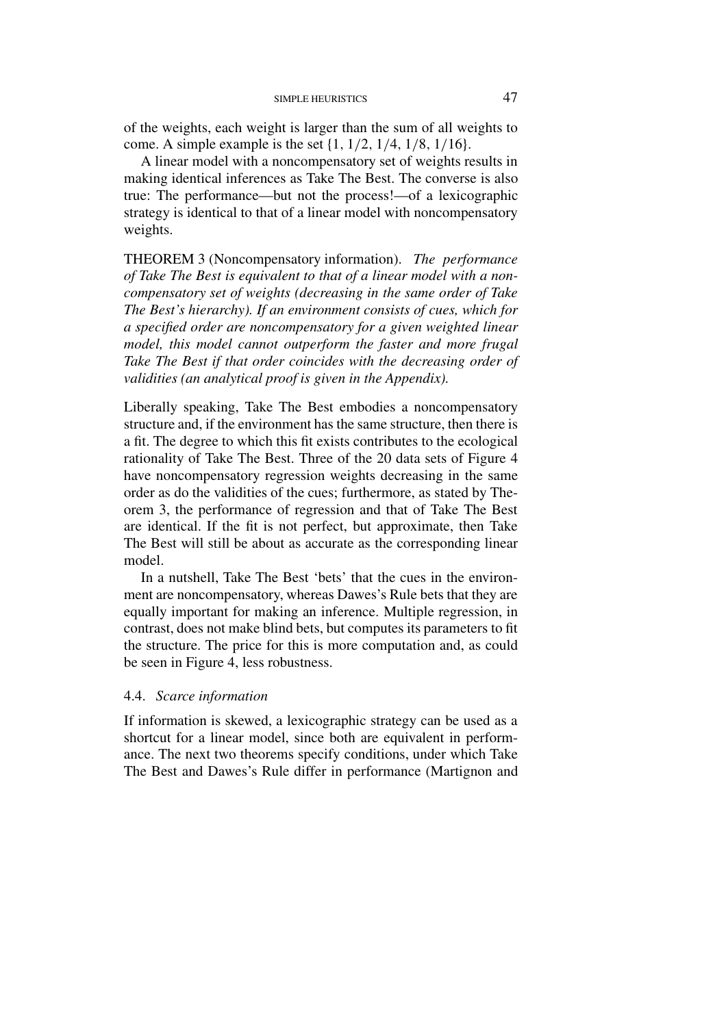of the weights, each weight is larger than the sum of all weights to come. A simple example is the set  $\{1, 1/2, 1/4, 1/8, 1/16\}.$ 

A linear model with a noncompensatory set of weights results in making identical inferences as Take The Best. The converse is also true: The performance—but not the process!—of a lexicographic strategy is identical to that of a linear model with noncompensatory weights.

THEOREM 3 (Noncompensatory information). *The performance of Take The Best is equivalent to that of a linear model with a noncompensatory set of weights (decreasing in the same order of Take The Best's hierarchy). If an environment consists of cues, which for a specified order are noncompensatory for a given weighted linear model, this model cannot outperform the faster and more frugal Take The Best if that order coincides with the decreasing order of validities (an analytical proof is given in the Appendix).*

Liberally speaking, Take The Best embodies a noncompensatory structure and, if the environment has the same structure, then there is a fit. The degree to which this fit exists contributes to the ecological rationality of Take The Best. Three of the 20 data sets of Figure 4 have noncompensatory regression weights decreasing in the same order as do the validities of the cues; furthermore, as stated by Theorem 3, the performance of regression and that of Take The Best are identical. If the fit is not perfect, but approximate, then Take The Best will still be about as accurate as the corresponding linear model.

In a nutshell, Take The Best 'bets' that the cues in the environment are noncompensatory, whereas Dawes's Rule bets that they are equally important for making an inference. Multiple regression, in contrast, does not make blind bets, but computes its parameters to fit the structure. The price for this is more computation and, as could be seen in Figure 4, less robustness.

### 4.4. *Scarce information*

If information is skewed, a lexicographic strategy can be used as a shortcut for a linear model, since both are equivalent in performance. The next two theorems specify conditions, under which Take The Best and Dawes's Rule differ in performance (Martignon and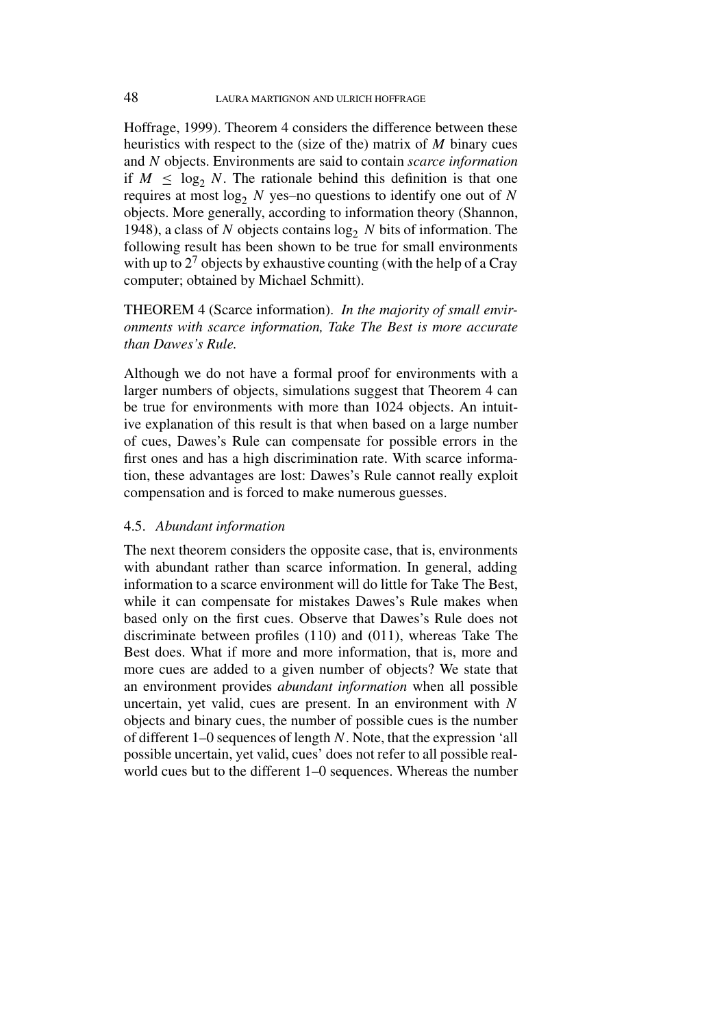Hoffrage, 1999). Theorem 4 considers the difference between these heuristics with respect to the (size of the) matrix of  $M$  binary cues and N objects. Environments are said to contain *scarce information* if  $M \leq \log_2 N$ . The rationale behind this definition is that one requires at most log<sub>2</sub> N yes–no questions to identify one out of N objects. More generally, according to information theory (Shannon, 1948), a class of N objects contains  $log_2 N$  bits of information. The following result has been shown to be true for small environments with up to  $2^7$  objects by exhaustive counting (with the help of a Cray computer; obtained by Michael Schmitt).

THEOREM 4 (Scarce information). *In the majority of small environments with scarce information, Take The Best is more accurate than Dawes's Rule.*

Although we do not have a formal proof for environments with a larger numbers of objects, simulations suggest that Theorem 4 can be true for environments with more than 1024 objects. An intuitive explanation of this result is that when based on a large number of cues, Dawes's Rule can compensate for possible errors in the first ones and has a high discrimination rate. With scarce information, these advantages are lost: Dawes's Rule cannot really exploit compensation and is forced to make numerous guesses.

# 4.5. *Abundant information*

The next theorem considers the opposite case, that is, environments with abundant rather than scarce information. In general, adding information to a scarce environment will do little for Take The Best, while it can compensate for mistakes Dawes's Rule makes when based only on the first cues. Observe that Dawes's Rule does not discriminate between profiles (110) and (011), whereas Take The Best does. What if more and more information, that is, more and more cues are added to a given number of objects? We state that an environment provides *abundant information* when all possible uncertain, yet valid, cues are present. In an environment with  $N$ objects and binary cues, the number of possible cues is the number of different 1–0 sequences of length N. Note, that the expression 'all possible uncertain, yet valid, cues' does not refer to all possible realworld cues but to the different 1–0 sequences. Whereas the number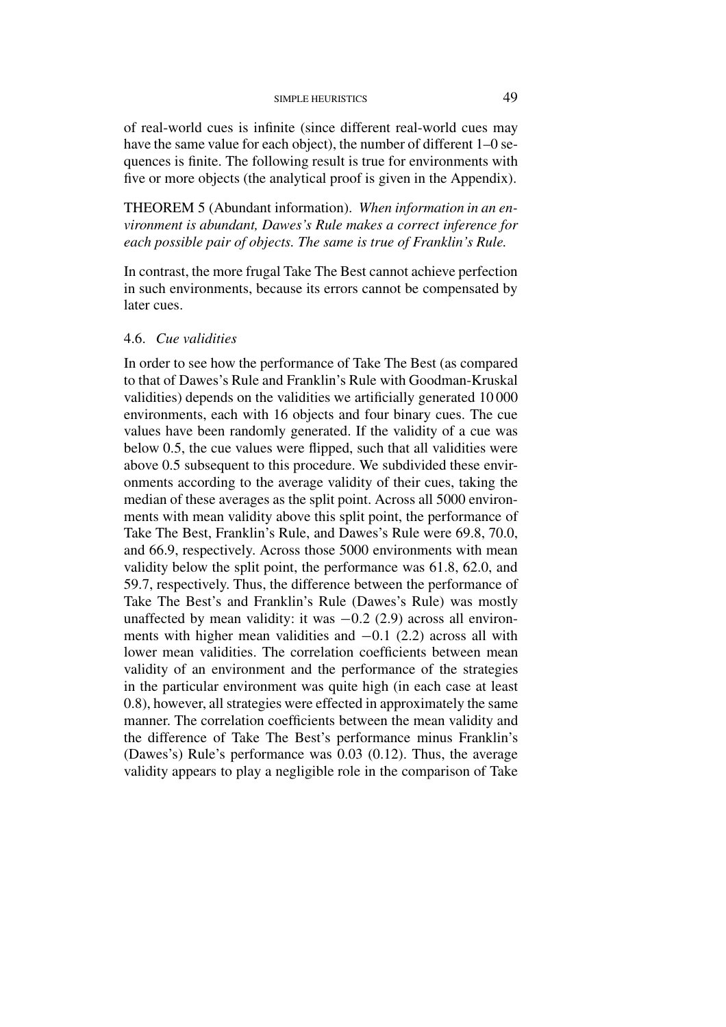### SIMPLE HEURISTICS 49

of real-world cues is infinite (since different real-world cues may have the same value for each object), the number of different 1–0 sequences is finite. The following result is true for environments with five or more objects (the analytical proof is given in the Appendix).

THEOREM 5 (Abundant information). *When information in an environment is abundant, Dawes's Rule makes a correct inference for each possible pair of objects. The same is true of Franklin's Rule.*

In contrast, the more frugal Take The Best cannot achieve perfection in such environments, because its errors cannot be compensated by later cues.

### 4.6. *Cue validities*

In order to see how the performance of Take The Best (as compared to that of Dawes's Rule and Franklin's Rule with Goodman-Kruskal validities) depends on the validities we artificially generated 10 000 environments, each with 16 objects and four binary cues. The cue values have been randomly generated. If the validity of a cue was below 0.5, the cue values were flipped, such that all validities were above 0.5 subsequent to this procedure. We subdivided these environments according to the average validity of their cues, taking the median of these averages as the split point. Across all 5000 environments with mean validity above this split point, the performance of Take The Best, Franklin's Rule, and Dawes's Rule were 69.8, 70.0, and 66.9, respectively. Across those 5000 environments with mean validity below the split point, the performance was 61.8, 62.0, and 59.7, respectively. Thus, the difference between the performance of Take The Best's and Franklin's Rule (Dawes's Rule) was mostly unaffected by mean validity: it was  $-0.2$  (2.9) across all environments with higher mean validities and  $-0.1$  (2.2) across all with lower mean validities. The correlation coefficients between mean validity of an environment and the performance of the strategies in the particular environment was quite high (in each case at least 0.8), however, all strategies were effected in approximately the same manner. The correlation coefficients between the mean validity and the difference of Take The Best's performance minus Franklin's (Dawes's) Rule's performance was 0.03 (0.12). Thus, the average validity appears to play a negligible role in the comparison of Take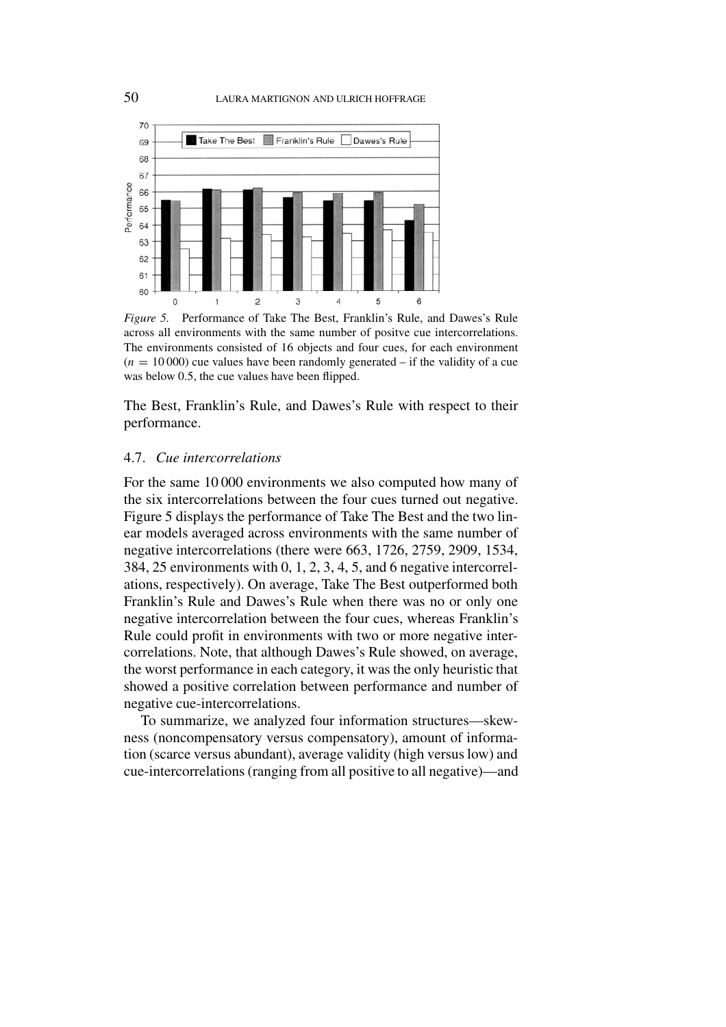

*Figure 5.* Performance of Take The Best, Franklin's Rule, and Dawes's Rule across all environments with the same number of positve cue intercorrelations. The environments consisted of 16 objects and four cues, for each environment  $(n = 10000)$  cue values have been randomly generated – if the validity of a cue was below 0.5, the cue values have been flipped.

The Best, Franklin's Rule, and Dawes's Rule with respect to their performance.

### 4.7. *Cue intercorrelations*

For the same 10 000 environments we also computed how many of the six intercorrelations between the four cues turned out negative. Figure 5 displays the performance of Take The Best and the two linear models averaged across environments with the same number of negative intercorrelations (there were 663, 1726, 2759, 2909, 1534, 384, 25 environments with 0, 1, 2, 3, 4, 5, and 6 negative intercorrelations, respectively). On average, Take The Best outperformed both Franklin's Rule and Dawes's Rule when there was no or only one negative intercorrelation between the four cues, whereas Franklin's Rule could profit in environments with two or more negative intercorrelations. Note, that although Dawes's Rule showed, on average, the worst performance in each category, it was the only heuristic that showed a positive correlation between performance and number of negative cue-intercorrelations.

To summarize, we analyzed four information structures—skewness (noncompensatory versus compensatory), amount of information (scarce versus abundant), average validity (high versus low) and cue-intercorrelations (ranging from all positive to all negative)—and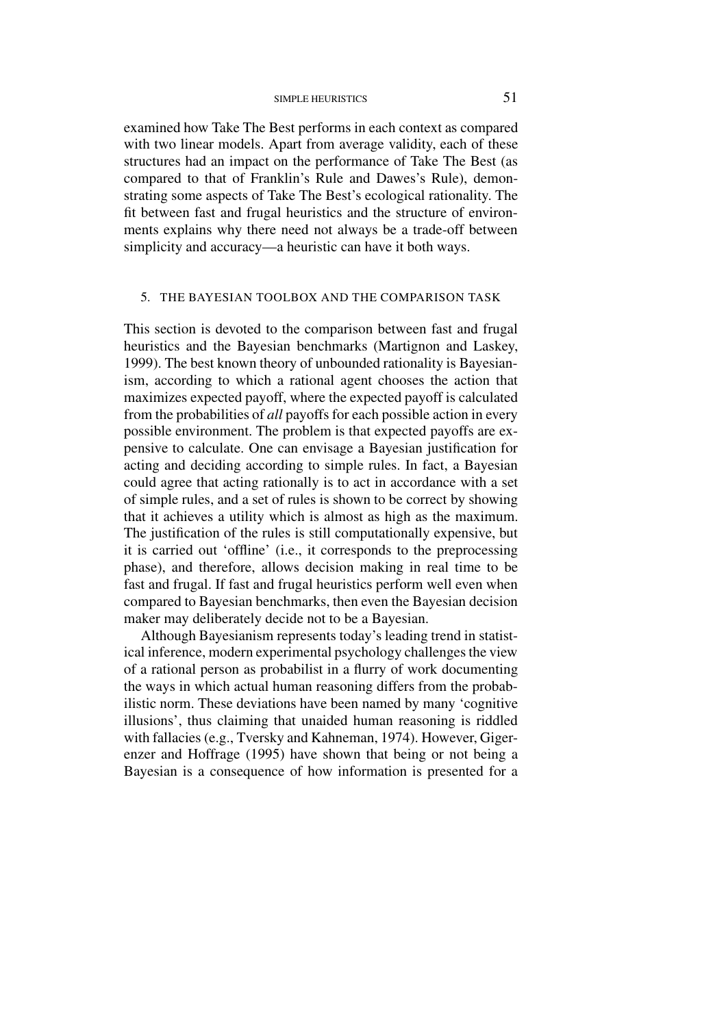examined how Take The Best performs in each context as compared with two linear models. Apart from average validity, each of these structures had an impact on the performance of Take The Best (as compared to that of Franklin's Rule and Dawes's Rule), demonstrating some aspects of Take The Best's ecological rationality. The fit between fast and frugal heuristics and the structure of environments explains why there need not always be a trade-off between simplicity and accuracy—a heuristic can have it both ways.

### 5. THE BAYESIAN TOOLBOX AND THE COMPARISON TASK

This section is devoted to the comparison between fast and frugal heuristics and the Bayesian benchmarks (Martignon and Laskey, 1999). The best known theory of unbounded rationality is Bayesianism, according to which a rational agent chooses the action that maximizes expected payoff, where the expected payoff is calculated from the probabilities of *all* payoffs for each possible action in every possible environment. The problem is that expected payoffs are expensive to calculate. One can envisage a Bayesian justification for acting and deciding according to simple rules. In fact, a Bayesian could agree that acting rationally is to act in accordance with a set of simple rules, and a set of rules is shown to be correct by showing that it achieves a utility which is almost as high as the maximum. The justification of the rules is still computationally expensive, but it is carried out 'offline' (i.e., it corresponds to the preprocessing phase), and therefore, allows decision making in real time to be fast and frugal. If fast and frugal heuristics perform well even when compared to Bayesian benchmarks, then even the Bayesian decision maker may deliberately decide not to be a Bayesian.

Although Bayesianism represents today's leading trend in statistical inference, modern experimental psychology challenges the view of a rational person as probabilist in a flurry of work documenting the ways in which actual human reasoning differs from the probabilistic norm. These deviations have been named by many 'cognitive illusions', thus claiming that unaided human reasoning is riddled with fallacies (e.g., Tversky and Kahneman, 1974). However, Gigerenzer and Hoffrage (1995) have shown that being or not being a Bayesian is a consequence of how information is presented for a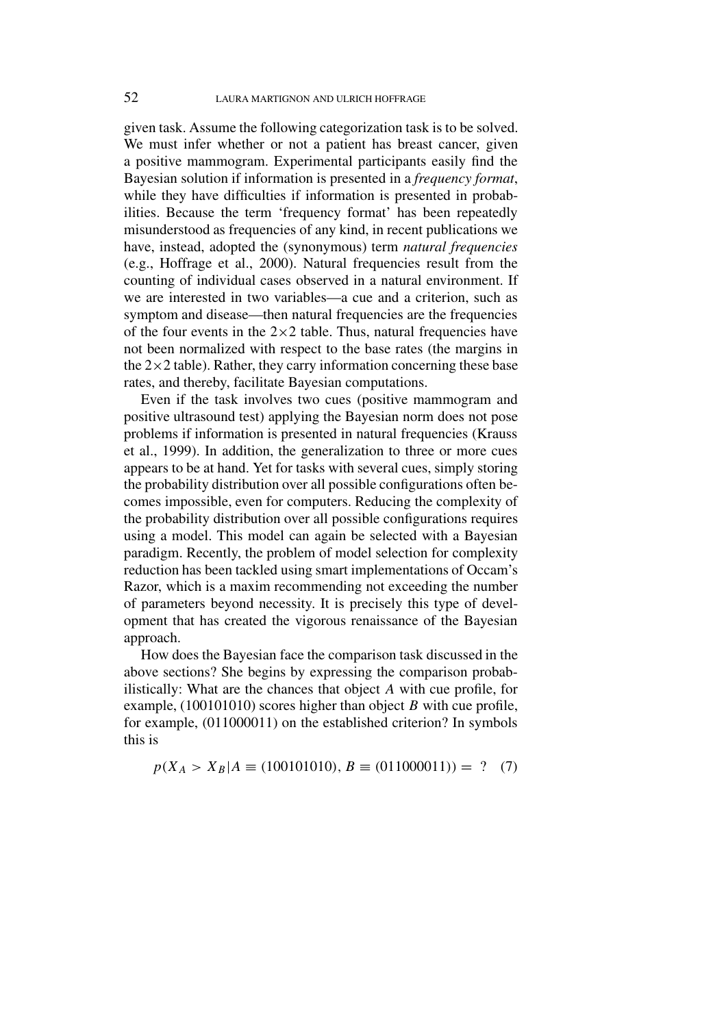given task. Assume the following categorization task is to be solved. We must infer whether or not a patient has breast cancer, given a positive mammogram. Experimental participants easily find the Bayesian solution if information is presented in a *frequency format*, while they have difficulties if information is presented in probabilities. Because the term 'frequency format' has been repeatedly misunderstood as frequencies of any kind, in recent publications we have, instead, adopted the (synonymous) term *natural frequencies* (e.g., Hoffrage et al., 2000). Natural frequencies result from the counting of individual cases observed in a natural environment. If we are interested in two variables—a cue and a criterion, such as symptom and disease—then natural frequencies are the frequencies of the four events in the  $2\times 2$  table. Thus, natural frequencies have not been normalized with respect to the base rates (the margins in the  $2\times 2$  table). Rather, they carry information concerning these base rates, and thereby, facilitate Bayesian computations.

Even if the task involves two cues (positive mammogram and positive ultrasound test) applying the Bayesian norm does not pose problems if information is presented in natural frequencies (Krauss et al., 1999). In addition, the generalization to three or more cues appears to be at hand. Yet for tasks with several cues, simply storing the probability distribution over all possible configurations often becomes impossible, even for computers. Reducing the complexity of the probability distribution over all possible configurations requires using a model. This model can again be selected with a Bayesian paradigm. Recently, the problem of model selection for complexity reduction has been tackled using smart implementations of Occam's Razor, which is a maxim recommending not exceeding the number of parameters beyond necessity. It is precisely this type of development that has created the vigorous renaissance of the Bayesian approach.

How does the Bayesian face the comparison task discussed in the above sections? She begins by expressing the comparison probabilistically: What are the chances that object A with cue profile, for example,  $(100101010)$  scores higher than object B with cue profile, for example, (011000011) on the established criterion? In symbols this is

$$
p(X_A > X_B | A \equiv (100101010), B \equiv (011000011)) = ? \quad (7)
$$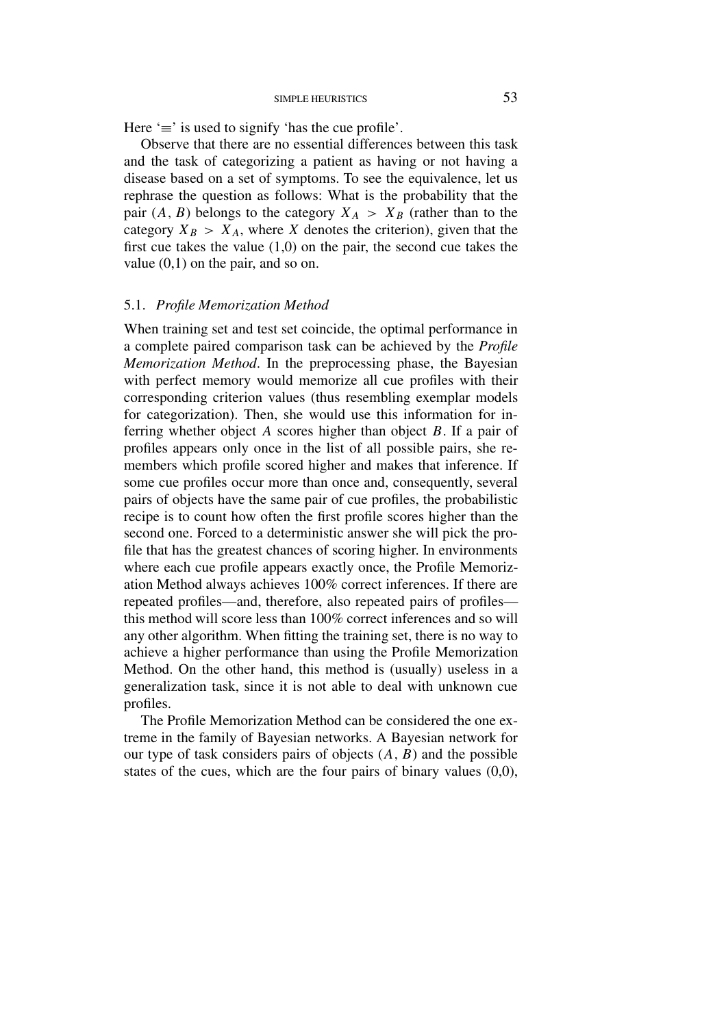Here  $\equiv$  is used to signify 'has the cue profile'.

Observe that there are no essential differences between this task and the task of categorizing a patient as having or not having a disease based on a set of symptoms. To see the equivalence, let us rephrase the question as follows: What is the probability that the pair  $(A, B)$  belongs to the category  $X_A > X_B$  (rather than to the category  $X_B > X_A$ , where X denotes the criterion), given that the first cue takes the value  $(1,0)$  on the pair, the second cue takes the value  $(0,1)$  on the pair, and so on.

### 5.1. *Profile Memorization Method*

When training set and test set coincide, the optimal performance in a complete paired comparison task can be achieved by the *Profile Memorization Method*. In the preprocessing phase, the Bayesian with perfect memory would memorize all cue profiles with their corresponding criterion values (thus resembling exemplar models for categorization). Then, she would use this information for inferring whether object A scores higher than object B. If a pair of profiles appears only once in the list of all possible pairs, she remembers which profile scored higher and makes that inference. If some cue profiles occur more than once and, consequently, several pairs of objects have the same pair of cue profiles, the probabilistic recipe is to count how often the first profile scores higher than the second one. Forced to a deterministic answer she will pick the profile that has the greatest chances of scoring higher. In environments where each cue profile appears exactly once, the Profile Memorization Method always achieves 100% correct inferences. If there are repeated profiles—and, therefore, also repeated pairs of profiles this method will score less than 100% correct inferences and so will any other algorithm. When fitting the training set, there is no way to achieve a higher performance than using the Profile Memorization Method. On the other hand, this method is (usually) useless in a generalization task, since it is not able to deal with unknown cue profiles.

The Profile Memorization Method can be considered the one extreme in the family of Bayesian networks. A Bayesian network for our type of task considers pairs of objects  $(A, B)$  and the possible states of the cues, which are the four pairs of binary values (0,0),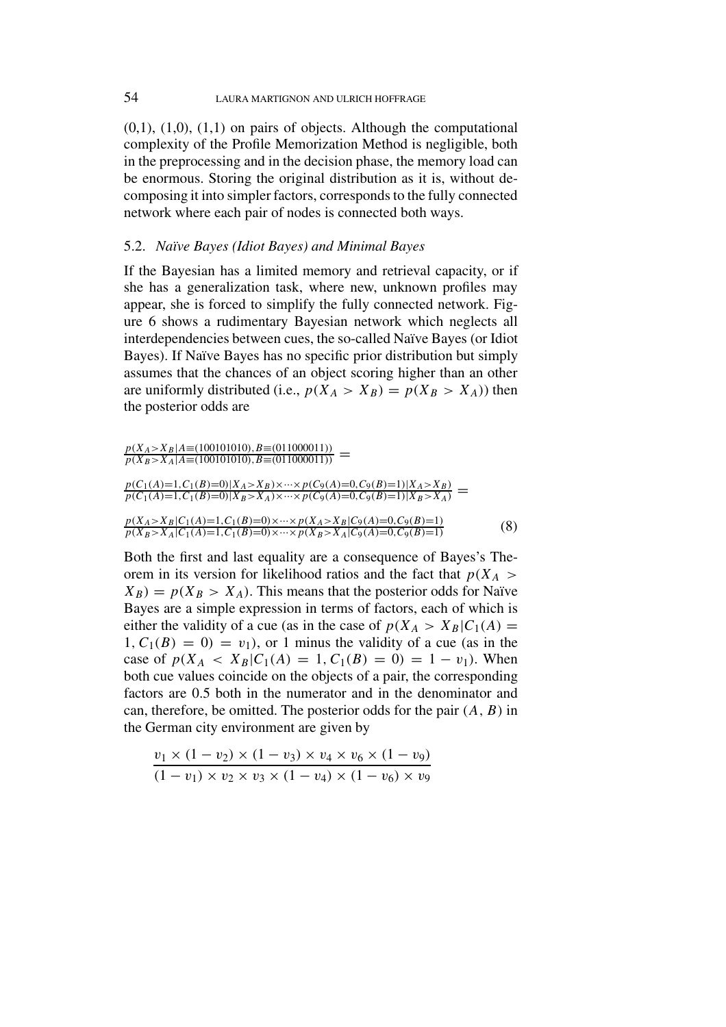$(0,1)$ ,  $(1,0)$ ,  $(1,1)$  on pairs of objects. Although the computational complexity of the Profile Memorization Method is negligible, both in the preprocessing and in the decision phase, the memory load can be enormous. Storing the original distribution as it is, without decomposing it into simpler factors, corresponds to the fully connected network where each pair of nodes is connected both ways.

### 5.2. *Naïve Bayes (Idiot Bayes) and Minimal Bayes*

If the Bayesian has a limited memory and retrieval capacity, or if she has a generalization task, where new, unknown profiles may appear, she is forced to simplify the fully connected network. Figure 6 shows a rudimentary Bayesian network which neglects all interdependencies between cues, the so-called Naïve Bayes (or Idiot Bayes). If Naïve Bayes has no specific prior distribution but simply assumes that the chances of an object scoring higher than an other are uniformly distributed (i.e.,  $p(X_A > X_B) = p(X_B > X_A)$ ) then the posterior odds are

$$
\frac{p(X_A > X_B | A = (100101010), B = (011000011))}{p(X_B > X_A | A = (100101010), B = (011000011))} =
$$
\n
$$
\frac{p(C_1(A) = 1, C_1(B) = 0) | X_A > X_B) \times \cdots \times p(C_9(A) = 0, C_9(B) = 1) | X_A > X_B)}{p(C_1(A) = 1, C_1(B) = 0) | X_B > X_A) \times \cdots \times p(C_9(A) = 0, C_9(B) = 1) | X_B > X_A)} =
$$
\n
$$
\frac{p(X_A > X_B | C_1(A) = 1, C_1(B) = 0) \times \cdots \times p(X_A > X_B | C_9(A) = 0, C_9(B) = 1)}{p(X_B > X_A | C_1(A) = 1, C_1(B) = 0) \times \cdots \times p(X_B > X_A | C_9(A) = 0, C_9(B) = 1)}
$$
\n(8)

Both the first and last equality are a consequence of Bayes's Theorem in its version for likelihood ratios and the fact that  $p(X_A >$  $X_B$ ) =  $p(X_B > X_A)$ . This means that the posterior odds for Naïve Bayes are a simple expression in terms of factors, each of which is either the validity of a cue (as in the case of  $p(X_A > X_B|C_1(A))$  $1, C_1(B) = 0$  =  $v_1$ , or 1 minus the validity of a cue (as in the case of  $p(X_A < X_B|C_1(A) = 1, C_1(B) = 0) = 1 - v_1$ . When both cue values coincide on the objects of a pair, the corresponding factors are 0.5 both in the numerator and in the denominator and can, therefore, be omitted. The posterior odds for the pair  $(A, B)$  in the German city environment are given by

$$
\frac{v_1 \times (1 - v_2) \times (1 - v_3) \times v_4 \times v_6 \times (1 - v_9)}{(1 - v_1) \times v_2 \times v_3 \times (1 - v_4) \times (1 - v_6) \times v_9}
$$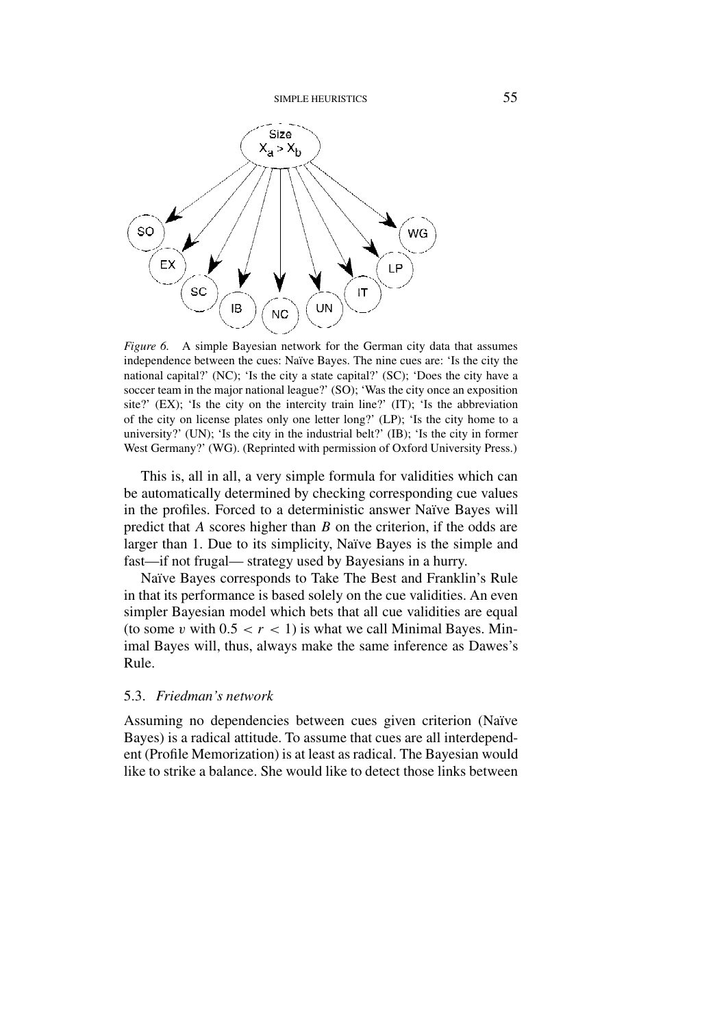

*Figure 6.* A simple Bayesian network for the German city data that assumes independence between the cues: Naïve Bayes. The nine cues are: 'Is the city the national capital?' (NC); 'Is the city a state capital?' (SC); 'Does the city have a soccer team in the major national league?' (SO); 'Was the city once an exposition site?' (EX); 'Is the city on the intercity train line?' (IT); 'Is the abbreviation of the city on license plates only one letter long?' (LP); 'Is the city home to a university?' (UN); 'Is the city in the industrial belt?' (IB); 'Is the city in former West Germany?' (WG). (Reprinted with permission of Oxford University Press.)

This is, all in all, a very simple formula for validities which can be automatically determined by checking corresponding cue values in the profiles. Forced to a deterministic answer Naïve Bayes will predict that  $A$  scores higher than  $B$  on the criterion, if the odds are larger than 1. Due to its simplicity, Naïve Bayes is the simple and fast—if not frugal— strategy used by Bayesians in a hurry.

Naïve Bayes corresponds to Take The Best and Franklin's Rule in that its performance is based solely on the cue validities. An even simpler Bayesian model which bets that all cue validities are equal (to some v with  $0.5 < r < 1$ ) is what we call Minimal Bayes. Minimal Bayes will, thus, always make the same inference as Dawes's Rule.

### 5.3. *Friedman's network*

Assuming no dependencies between cues given criterion (Naïve Bayes) is a radical attitude. To assume that cues are all interdependent (Profile Memorization) is at least as radical. The Bayesian would like to strike a balance. She would like to detect those links between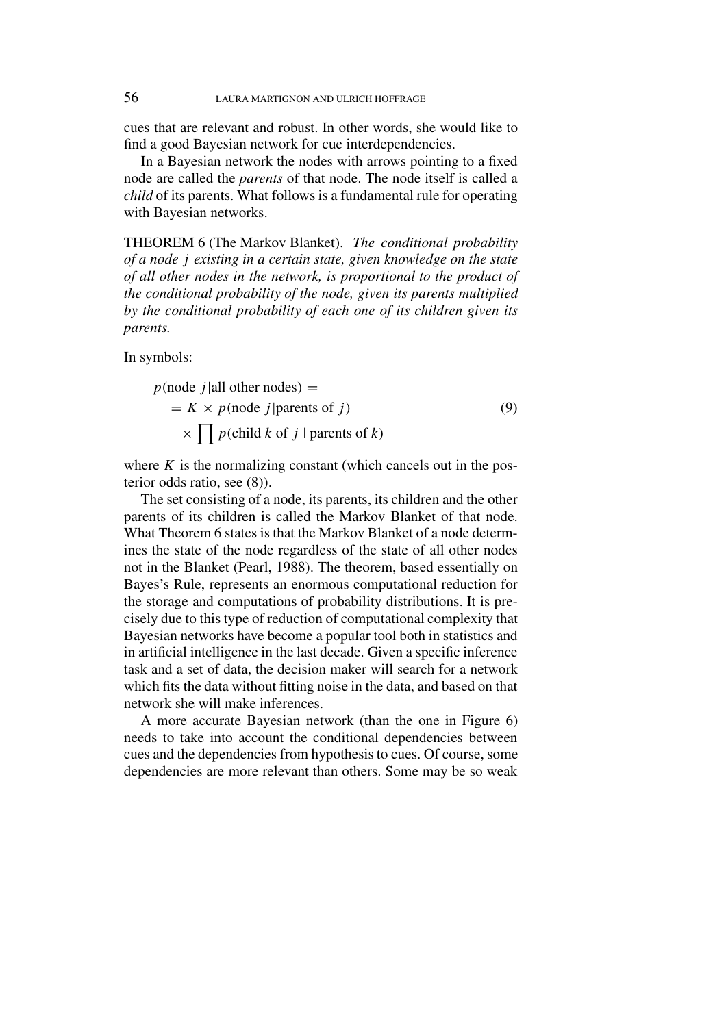cues that are relevant and robust. In other words, she would like to find a good Bayesian network for cue interdependencies.

In a Bayesian network the nodes with arrows pointing to a fixed node are called the *parents* of that node. The node itself is called a *child* of its parents. What follows is a fundamental rule for operating with Bayesian networks.

THEOREM 6 (The Markov Blanket). *The conditional probability of a node* j *existing in a certain state, given knowledge on the state of all other nodes in the network, is proportional to the product of the conditional probability of the node, given its parents multiplied by the conditional probability of each one of its children given its parents.*

In symbols:

$$
p(\text{node } j | \text{all other nodes}) =
$$
  
=  $K \times p(\text{node } j | \text{parents of } j)$   
 $\times \prod p(\text{child } k \text{ of } j | \text{parents of } k)$  (9)

where  $K$  is the normalizing constant (which cancels out in the posterior odds ratio, see (8)).

The set consisting of a node, its parents, its children and the other parents of its children is called the Markov Blanket of that node. What Theorem 6 states is that the Markov Blanket of a node determines the state of the node regardless of the state of all other nodes not in the Blanket (Pearl, 1988). The theorem, based essentially on Bayes's Rule, represents an enormous computational reduction for the storage and computations of probability distributions. It is precisely due to this type of reduction of computational complexity that Bayesian networks have become a popular tool both in statistics and in artificial intelligence in the last decade. Given a specific inference task and a set of data, the decision maker will search for a network which fits the data without fitting noise in the data, and based on that network she will make inferences.

A more accurate Bayesian network (than the one in Figure 6) needs to take into account the conditional dependencies between cues and the dependencies from hypothesis to cues. Of course, some dependencies are more relevant than others. Some may be so weak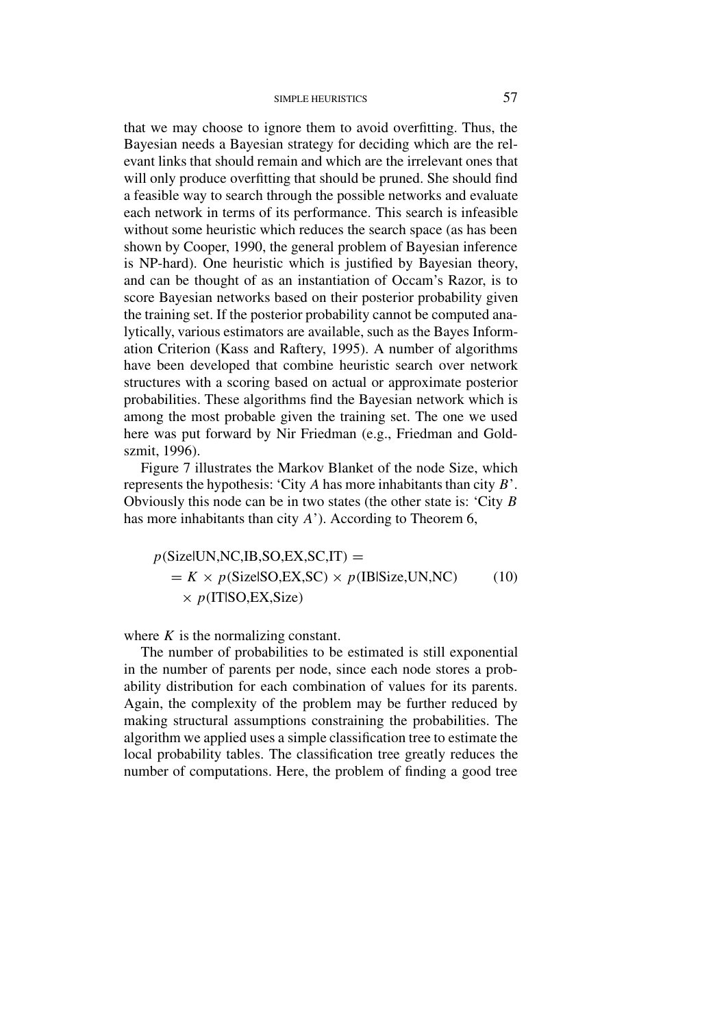that we may choose to ignore them to avoid overfitting. Thus, the Bayesian needs a Bayesian strategy for deciding which are the relevant links that should remain and which are the irrelevant ones that will only produce overfitting that should be pruned. She should find a feasible way to search through the possible networks and evaluate each network in terms of its performance. This search is infeasible without some heuristic which reduces the search space (as has been shown by Cooper, 1990, the general problem of Bayesian inference is NP-hard). One heuristic which is justified by Bayesian theory, and can be thought of as an instantiation of Occam's Razor, is to score Bayesian networks based on their posterior probability given the training set. If the posterior probability cannot be computed analytically, various estimators are available, such as the Bayes Information Criterion (Kass and Raftery, 1995). A number of algorithms have been developed that combine heuristic search over network structures with a scoring based on actual or approximate posterior probabilities. These algorithms find the Bayesian network which is among the most probable given the training set. The one we used here was put forward by Nir Friedman (e.g., Friedman and Goldszmit, 1996).

Figure 7 illustrates the Markov Blanket of the node Size, which represents the hypothesis: 'City A has more inhabitants than city B'. Obviously this node can be in two states (the other state is: 'City  $B$ has more inhabitants than city  $A'$ ). According to Theorem 6,

$$
p(SizelUN, NC, IB, SO, EX, SC, IT) =
$$
  
=  $K \times p(SizelSO, EX, SC) \times p(IB|Size, UN, NC)$  (10)  
 $\times p(IT|SO, EX, Size)$ 

where  $K$  is the normalizing constant.

The number of probabilities to be estimated is still exponential in the number of parents per node, since each node stores a probability distribution for each combination of values for its parents. Again, the complexity of the problem may be further reduced by making structural assumptions constraining the probabilities. The algorithm we applied uses a simple classification tree to estimate the local probability tables. The classification tree greatly reduces the number of computations. Here, the problem of finding a good tree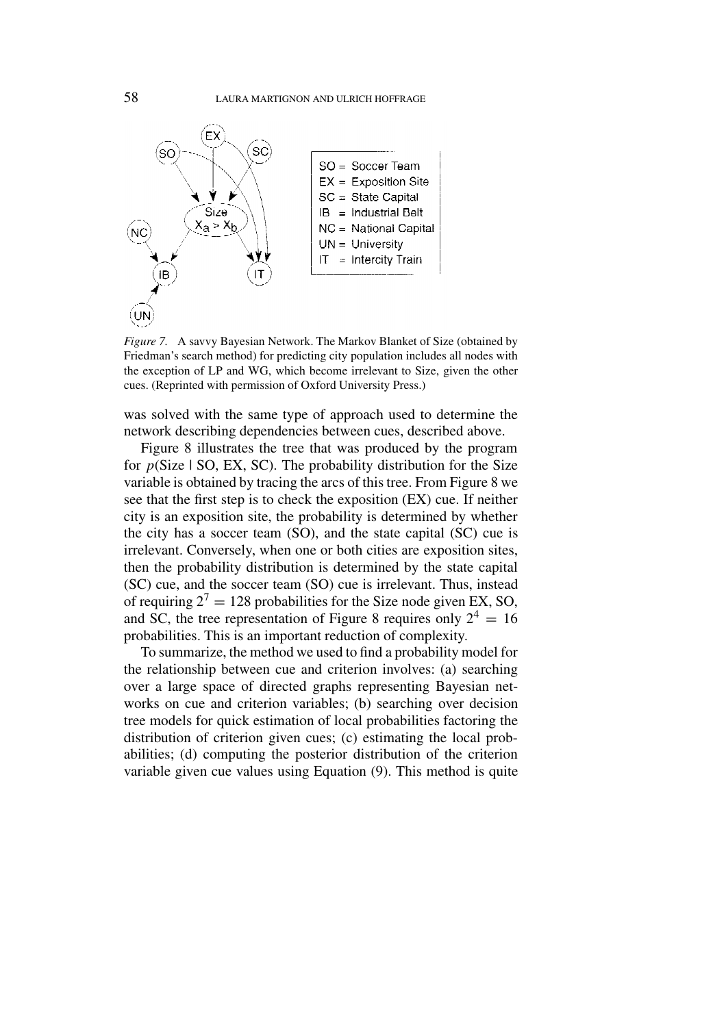

*Figure 7.* A savvy Bayesian Network. The Markov Blanket of Size (obtained by Friedman's search method) for predicting city population includes all nodes with the exception of LP and WG, which become irrelevant to Size, given the other cues. (Reprinted with permission of Oxford University Press.)

was solved with the same type of approach used to determine the network describing dependencies between cues, described above.

Figure 8 illustrates the tree that was produced by the program for  $p(Size | SO, EX, SC)$ . The probability distribution for the Size variable is obtained by tracing the arcs of this tree. From Figure 8 we see that the first step is to check the exposition (EX) cue. If neither city is an exposition site, the probability is determined by whether the city has a soccer team (SO), and the state capital (SC) cue is irrelevant. Conversely, when one or both cities are exposition sites, then the probability distribution is determined by the state capital (SC) cue, and the soccer team (SO) cue is irrelevant. Thus, instead of requiring  $2^7 = 128$  probabilities for the Size node given EX, SO, and SC, the tree representation of Figure 8 requires only  $2^4 = 16$ probabilities. This is an important reduction of complexity.

To summarize, the method we used to find a probability model for the relationship between cue and criterion involves: (a) searching over a large space of directed graphs representing Bayesian networks on cue and criterion variables; (b) searching over decision tree models for quick estimation of local probabilities factoring the distribution of criterion given cues; (c) estimating the local probabilities; (d) computing the posterior distribution of the criterion variable given cue values using Equation (9). This method is quite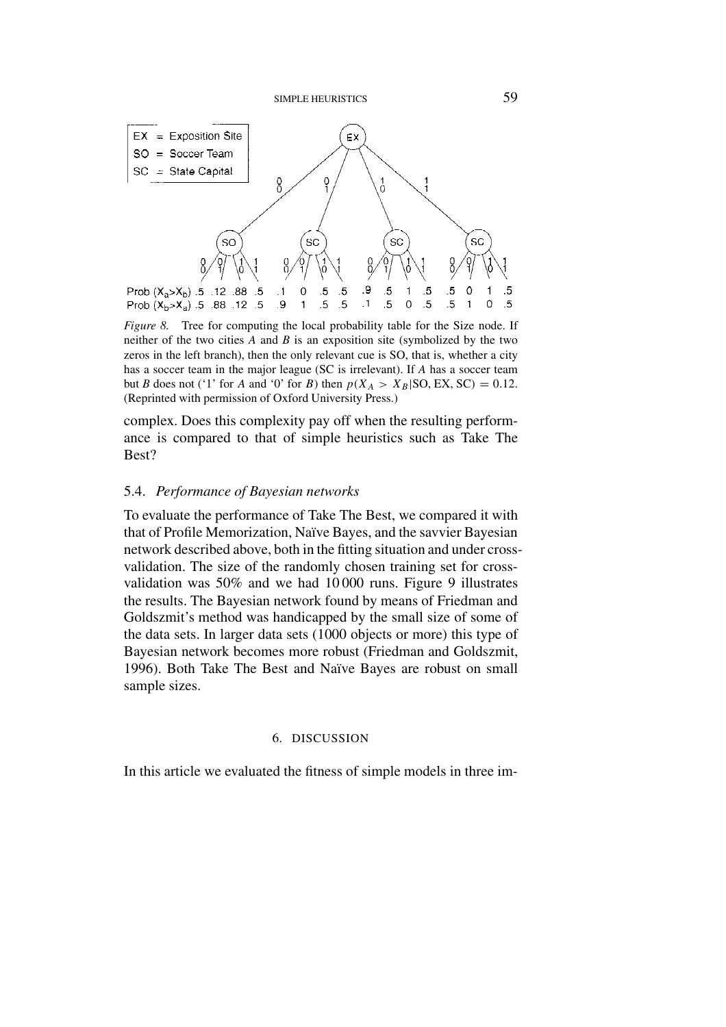

*Figure 8.* Tree for computing the local probability table for the Size node. If neither of the two cities *A* and *B* is an exposition site (symbolized by the two zeros in the left branch), then the only relevant cue is SO, that is, whether a city has a soccer team in the major league (SC is irrelevant). If *A* has a soccer team but *B* does not ('1' for *A* and '0' for *B*) then  $p(X_A > X_B | SO, EX, SC) = 0.12$ . (Reprinted with permission of Oxford University Press.)

complex. Does this complexity pay off when the resulting performance is compared to that of simple heuristics such as Take The Best?

### 5.4. *Performance of Bayesian networks*

To evaluate the performance of Take The Best, we compared it with that of Profile Memorization, Naïve Bayes, and the savvier Bayesian network described above, both in the fitting situation and under crossvalidation. The size of the randomly chosen training set for crossvalidation was 50% and we had 10 000 runs. Figure 9 illustrates the results. The Bayesian network found by means of Friedman and Goldszmit's method was handicapped by the small size of some of the data sets. In larger data sets (1000 objects or more) this type of Bayesian network becomes more robust (Friedman and Goldszmit, 1996). Both Take The Best and Naïve Bayes are robust on small sample sizes.

#### 6. DISCUSSION

In this article we evaluated the fitness of simple models in three im-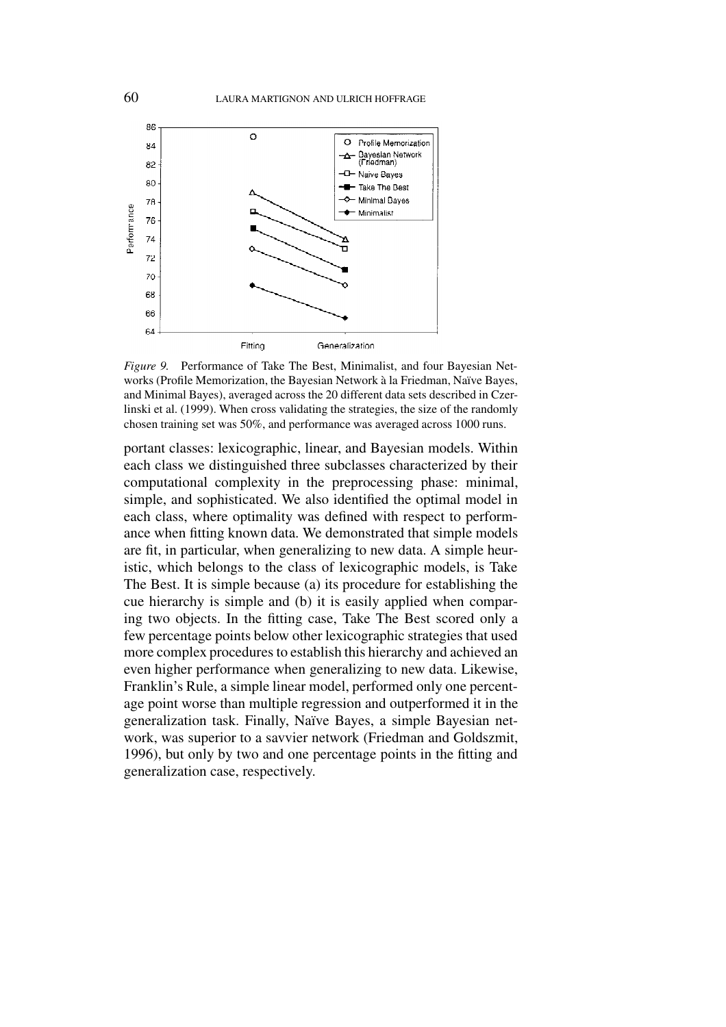

*Figure 9.* Performance of Take The Best, Minimalist, and four Bayesian Networks (Profile Memorization, the Bayesian Network à la Friedman, Naïve Bayes, and Minimal Bayes), averaged across the 20 different data sets described in Czerlinski et al. (1999). When cross validating the strategies, the size of the randomly chosen training set was 50%, and performance was averaged across 1000 runs.

portant classes: lexicographic, linear, and Bayesian models. Within each class we distinguished three subclasses characterized by their computational complexity in the preprocessing phase: minimal, simple, and sophisticated. We also identified the optimal model in each class, where optimality was defined with respect to performance when fitting known data. We demonstrated that simple models are fit, in particular, when generalizing to new data. A simple heuristic, which belongs to the class of lexicographic models, is Take The Best. It is simple because (a) its procedure for establishing the cue hierarchy is simple and (b) it is easily applied when comparing two objects. In the fitting case, Take The Best scored only a few percentage points below other lexicographic strategies that used more complex procedures to establish this hierarchy and achieved an even higher performance when generalizing to new data. Likewise, Franklin's Rule, a simple linear model, performed only one percentage point worse than multiple regression and outperformed it in the generalization task. Finally, Naïve Bayes, a simple Bayesian network, was superior to a savvier network (Friedman and Goldszmit, 1996), but only by two and one percentage points in the fitting and generalization case, respectively.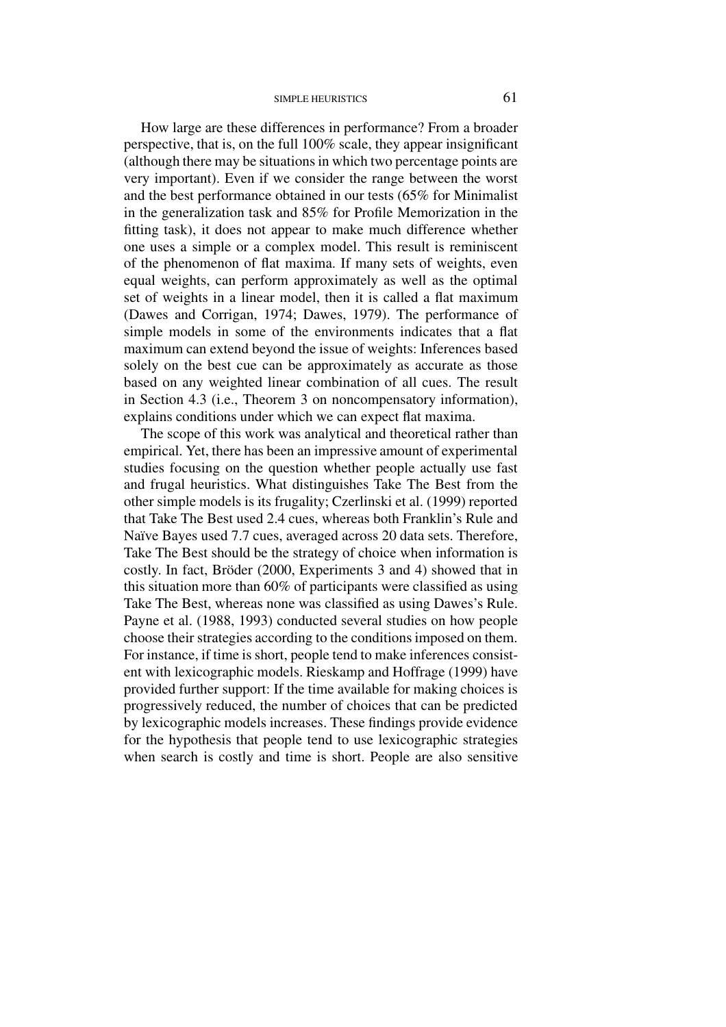### SIMPLE HEURISTICS 61

How large are these differences in performance? From a broader perspective, that is, on the full 100% scale, they appear insignificant (although there may be situations in which two percentage points are very important). Even if we consider the range between the worst and the best performance obtained in our tests (65% for Minimalist in the generalization task and 85% for Profile Memorization in the fitting task), it does not appear to make much difference whether one uses a simple or a complex model. This result is reminiscent of the phenomenon of flat maxima. If many sets of weights, even equal weights, can perform approximately as well as the optimal set of weights in a linear model, then it is called a flat maximum (Dawes and Corrigan, 1974; Dawes, 1979). The performance of simple models in some of the environments indicates that a flat maximum can extend beyond the issue of weights: Inferences based solely on the best cue can be approximately as accurate as those based on any weighted linear combination of all cues. The result in Section 4.3 (i.e., Theorem 3 on noncompensatory information), explains conditions under which we can expect flat maxima.

The scope of this work was analytical and theoretical rather than empirical. Yet, there has been an impressive amount of experimental studies focusing on the question whether people actually use fast and frugal heuristics. What distinguishes Take The Best from the other simple models is its frugality; Czerlinski et al. (1999) reported that Take The Best used 2.4 cues, whereas both Franklin's Rule and Naïve Bayes used 7.7 cues, averaged across 20 data sets. Therefore, Take The Best should be the strategy of choice when information is costly. In fact, Bröder (2000, Experiments 3 and 4) showed that in this situation more than 60% of participants were classified as using Take The Best, whereas none was classified as using Dawes's Rule. Payne et al. (1988, 1993) conducted several studies on how people choose their strategies according to the conditions imposed on them. For instance, if time is short, people tend to make inferences consistent with lexicographic models. Rieskamp and Hoffrage (1999) have provided further support: If the time available for making choices is progressively reduced, the number of choices that can be predicted by lexicographic models increases. These findings provide evidence for the hypothesis that people tend to use lexicographic strategies when search is costly and time is short. People are also sensitive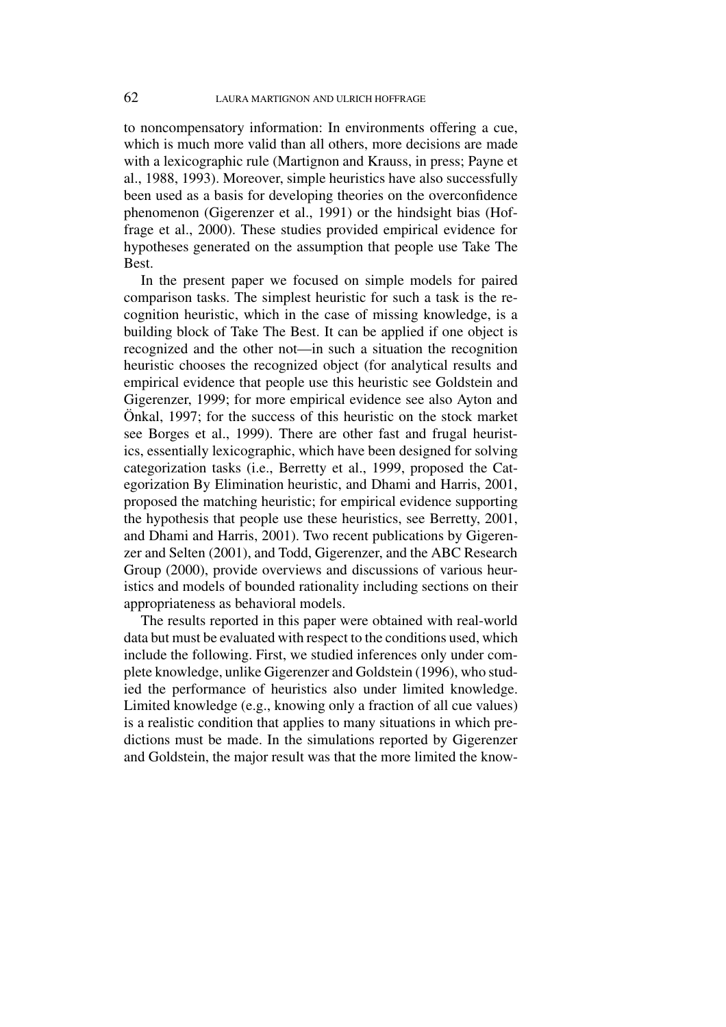to noncompensatory information: In environments offering a cue, which is much more valid than all others, more decisions are made with a lexicographic rule (Martignon and Krauss, in press; Payne et al., 1988, 1993). Moreover, simple heuristics have also successfully been used as a basis for developing theories on the overconfidence phenomenon (Gigerenzer et al., 1991) or the hindsight bias (Hoffrage et al., 2000). These studies provided empirical evidence for hypotheses generated on the assumption that people use Take The Best.

In the present paper we focused on simple models for paired comparison tasks. The simplest heuristic for such a task is the recognition heuristic, which in the case of missing knowledge, is a building block of Take The Best. It can be applied if one object is recognized and the other not—in such a situation the recognition heuristic chooses the recognized object (for analytical results and empirical evidence that people use this heuristic see Goldstein and Gigerenzer, 1999; for more empirical evidence see also Ayton and Önkal, 1997; for the success of this heuristic on the stock market see Borges et al., 1999). There are other fast and frugal heuristics, essentially lexicographic, which have been designed for solving categorization tasks (i.e., Berretty et al., 1999, proposed the Categorization By Elimination heuristic, and Dhami and Harris, 2001, proposed the matching heuristic; for empirical evidence supporting the hypothesis that people use these heuristics, see Berretty, 2001, and Dhami and Harris, 2001). Two recent publications by Gigerenzer and Selten (2001), and Todd, Gigerenzer, and the ABC Research Group (2000), provide overviews and discussions of various heuristics and models of bounded rationality including sections on their appropriateness as behavioral models.

The results reported in this paper were obtained with real-world data but must be evaluated with respect to the conditions used, which include the following. First, we studied inferences only under complete knowledge, unlike Gigerenzer and Goldstein (1996), who studied the performance of heuristics also under limited knowledge. Limited knowledge (e.g., knowing only a fraction of all cue values) is a realistic condition that applies to many situations in which predictions must be made. In the simulations reported by Gigerenzer and Goldstein, the major result was that the more limited the know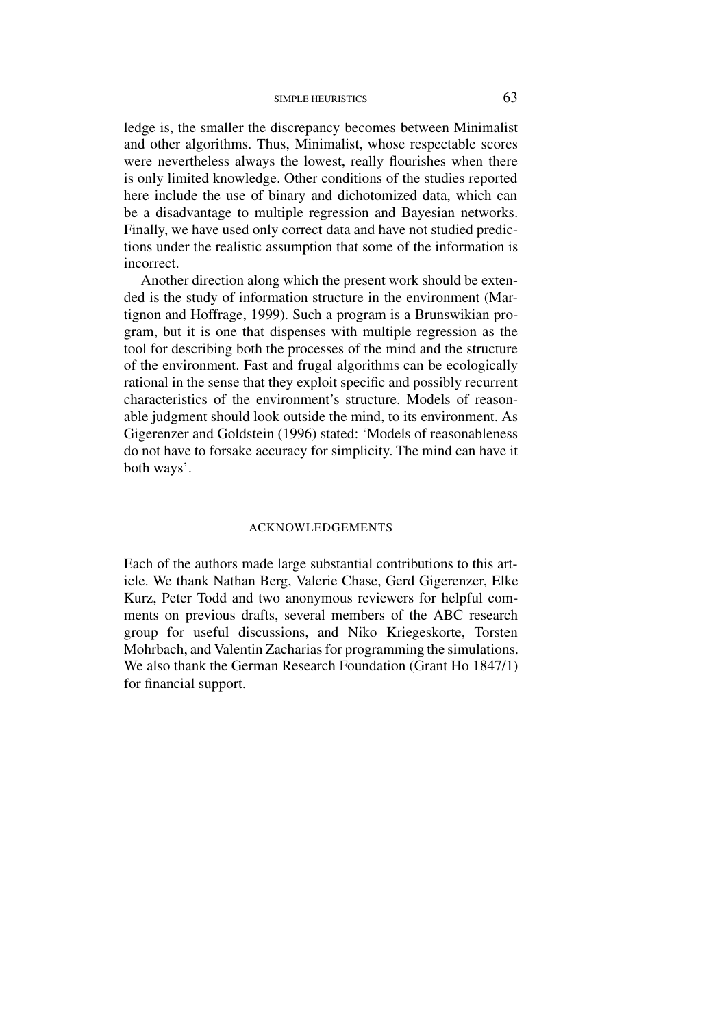SIMPLE HEURISTICS 63

ledge is, the smaller the discrepancy becomes between Minimalist and other algorithms. Thus, Minimalist, whose respectable scores were nevertheless always the lowest, really flourishes when there is only limited knowledge. Other conditions of the studies reported here include the use of binary and dichotomized data, which can be a disadvantage to multiple regression and Bayesian networks. Finally, we have used only correct data and have not studied predictions under the realistic assumption that some of the information is incorrect.

Another direction along which the present work should be extended is the study of information structure in the environment (Martignon and Hoffrage, 1999). Such a program is a Brunswikian program, but it is one that dispenses with multiple regression as the tool for describing both the processes of the mind and the structure of the environment. Fast and frugal algorithms can be ecologically rational in the sense that they exploit specific and possibly recurrent characteristics of the environment's structure. Models of reasonable judgment should look outside the mind, to its environment. As Gigerenzer and Goldstein (1996) stated: 'Models of reasonableness do not have to forsake accuracy for simplicity. The mind can have it both ways'.

### ACKNOWLEDGEMENTS

Each of the authors made large substantial contributions to this article. We thank Nathan Berg, Valerie Chase, Gerd Gigerenzer, Elke Kurz, Peter Todd and two anonymous reviewers for helpful comments on previous drafts, several members of the ABC research group for useful discussions, and Niko Kriegeskorte, Torsten Mohrbach, and Valentin Zacharias for programming the simulations. We also thank the German Research Foundation (Grant Ho 1847/1) for financial support.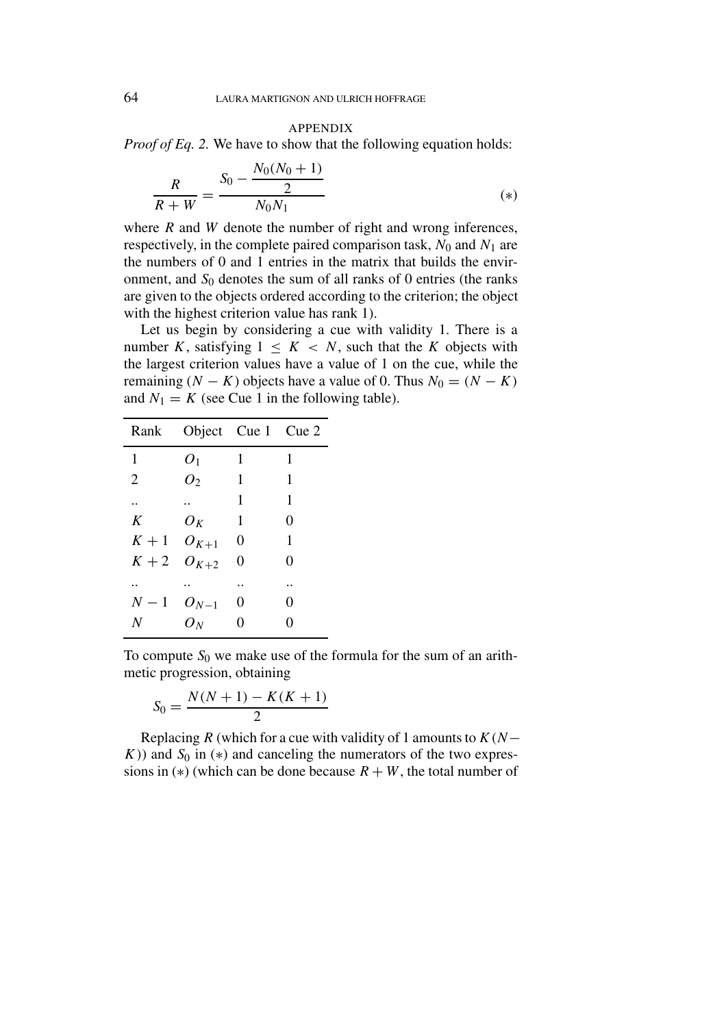#### APPENDIX

*Proof of Eq. 2.* We have to show that the following equation holds:

$$
\frac{R}{R+W} = \frac{S_0 - \frac{N_0(N_0+1)}{2}}{N_0N_1}
$$
 (\*)

where  $R$  and  $W$  denote the number of right and wrong inferences, respectively, in the complete paired comparison task,  $N_0$  and  $N_1$  are the numbers of 0 and 1 entries in the matrix that builds the environment, and  $S_0$  denotes the sum of all ranks of 0 entries (the ranks are given to the objects ordered according to the criterion; the object with the highest criterion value has rank 1).

Let us begin by considering a cue with validity 1. There is a number K, satisfying  $1 \leq K < N$ , such that the K objects with the largest criterion values have a value of 1 on the cue, while the remaining  $(N - K)$  objects have a value of 0. Thus  $N_0 = (N - K)$ and  $N_1 = K$  (see Cue 1 in the following table).

| Rank              |                | Object Cue 1 Cue 2 |          |
|-------------------|----------------|--------------------|----------|
| 1                 | O <sub>1</sub> | 1                  | 1        |
| 2                 | O <sub>2</sub> | 1                  | 1        |
|                   |                | 1                  | 1        |
| K                 | $O_K$          | 1                  | $\theta$ |
| $K + 1$ $O_{K+1}$ |                | $\overline{0}$     | 1        |
| $K + 2$ $O_{K+2}$ |                | $\overline{0}$     | 0        |
|                   |                |                    |          |
| $N-1$ $O_{N-1}$   |                | 0                  | 0        |
| $\overline{N}$    | $O_N$          | 0                  | 0        |

To compute  $S_0$  we make use of the formula for the sum of an arithmetic progression, obtaining

$$
S_0 = \frac{N(N+1) - K(K+1)}{2}
$$

Replacing R (which for a cue with validity of 1 amounts to  $K(N-$ K)) and  $S_0$  in (\*) and canceling the numerators of the two expressions in (\*) (which can be done because  $R + W$ , the total number of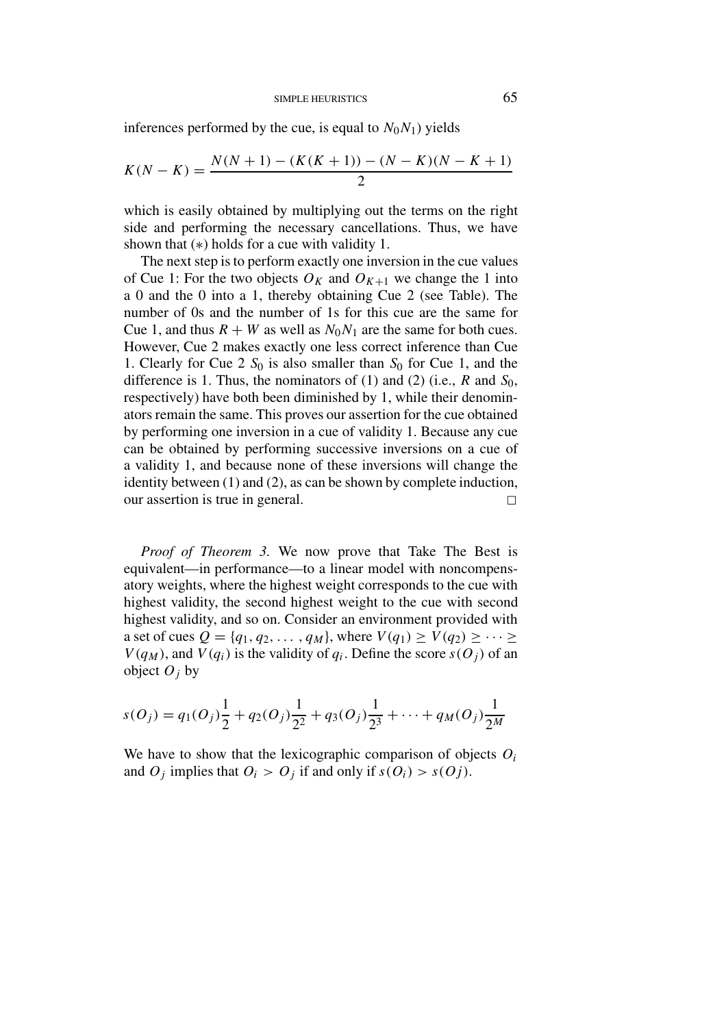### SIMPLE HEURISTICS 65

inferences performed by the cue, is equal to  $N_0N_1$ ) yields

$$
K(N - K) = \frac{N(N + 1) - (K(K + 1)) - (N - K)(N - K + 1)}{2}
$$

which is easily obtained by multiplying out the terms on the right side and performing the necessary cancellations. Thus, we have shown that  $(*)$  holds for a cue with validity 1.

The next step is to perform exactly one inversion in the cue values of Cue 1: For the two objects  $O_K$  and  $O_{K+1}$  we change the 1 into a 0 and the 0 into a 1, thereby obtaining Cue 2 (see Table). The number of 0s and the number of 1s for this cue are the same for Cue 1, and thus  $R + W$  as well as  $N_0N_1$  are the same for both cues. However, Cue 2 makes exactly one less correct inference than Cue 1. Clearly for Cue 2  $S_0$  is also smaller than  $S_0$  for Cue 1, and the difference is 1. Thus, the nominators of (1) and (2) (i.e.,  $R$  and  $S_0$ , respectively) have both been diminished by 1, while their denominators remain the same. This proves our assertion for the cue obtained by performing one inversion in a cue of validity 1. Because any cue can be obtained by performing successive inversions on a cue of a validity 1, and because none of these inversions will change the identity between (1) and (2), as can be shown by complete induction, our assertion is true in general.

*Proof of Theorem 3.* We now prove that Take The Best is equivalent—in performance—to a linear model with noncompensatory weights, where the highest weight corresponds to the cue with highest validity, the second highest weight to the cue with second highest validity, and so on. Consider an environment provided with a set of cues  $Q = \{q_1, q_2, \ldots, q_M\}$ , where  $V(q_1) \geq V(q_2) \geq \cdots \geq$  $V(q_M)$ , and  $V(q_i)$  is the validity of  $q_i$ . Define the score  $s(Q_i)$  of an object  $O_j$  by

$$
s(O_j) = q_1(O_j)\frac{1}{2} + q_2(O_j)\frac{1}{2^2} + q_3(O_j)\frac{1}{2^3} + \dots + q_M(O_j)\frac{1}{2^M}
$$

We have to show that the lexicographic comparison of objects  $O_i$ and  $O_i$  implies that  $O_i > O_i$  if and only if  $s(O_i) > s(O_j)$ .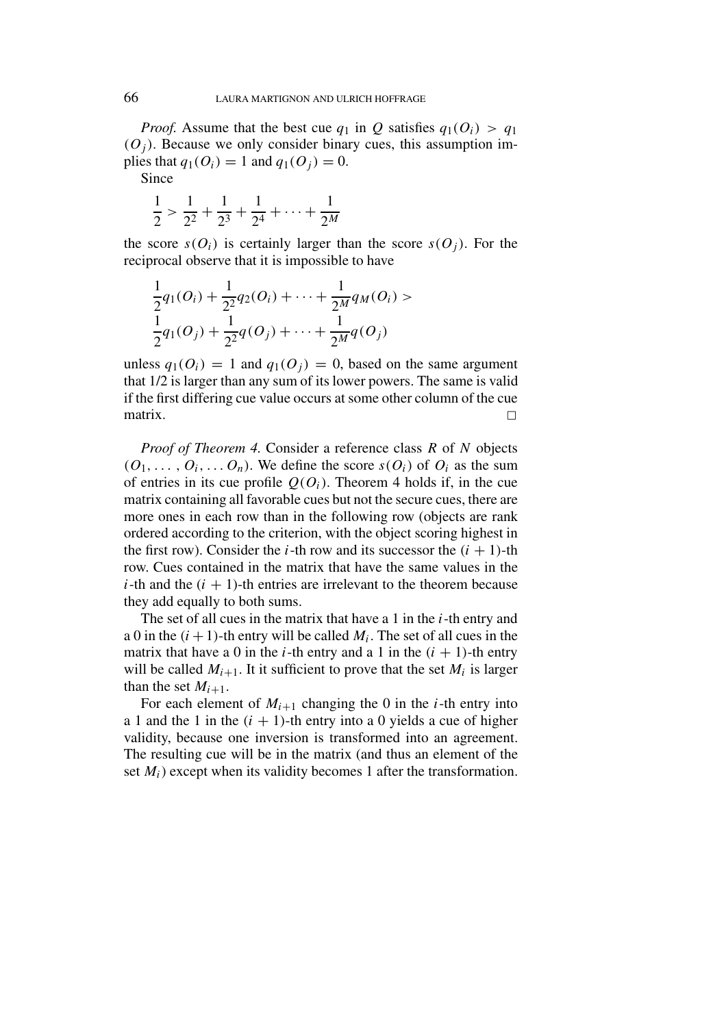*Proof.* Assume that the best cue  $q_1$  in Q satisfies  $q_1(O_i) > q_1$  $(O_i)$ . Because we only consider binary cues, this assumption implies that  $q_1(O_i) = 1$  and  $q_1(O_i) = 0$ .

Since

$$
\frac{1}{2} > \frac{1}{2^2} + \frac{1}{2^3} + \frac{1}{2^4} + \dots + \frac{1}{2^M}
$$

the score  $s(O_i)$  is certainly larger than the score  $s(O_i)$ . For the reciprocal observe that it is impossible to have

$$
\frac{1}{2}q_1(O_i) + \frac{1}{2^2}q_2(O_i) + \dots + \frac{1}{2^M}q_M(O_i) >
$$
  

$$
\frac{1}{2}q_1(O_j) + \frac{1}{2^2}q(O_j) + \dots + \frac{1}{2^M}q(O_j)
$$

unless  $q_1(O_i) = 1$  and  $q_1(O_i) = 0$ , based on the same argument that 1/2 is larger than any sum of its lower powers. The same is valid if the first differing cue value occurs at some other column of the cue matrix.  $\Box$ 

*Proof of Theorem 4.* Consider a reference class R of N objects  $(O_1, \ldots, O_i, \ldots, O_n)$ . We define the score  $s(O_i)$  of  $O_i$  as the sum of entries in its cue profile  $Q(O_i)$ . Theorem 4 holds if, in the cue matrix containing all favorable cues but not the secure cues, there are more ones in each row than in the following row (objects are rank ordered according to the criterion, with the object scoring highest in the first row). Consider the *i*-th row and its successor the  $(i + 1)$ -th row. Cues contained in the matrix that have the same values in the *i*-th and the  $(i + 1)$ -th entries are irrelevant to the theorem because they add equally to both sums.

The set of all cues in the matrix that have a 1 in the  $i$ -th entry and a 0 in the  $(i + 1)$ -th entry will be called  $M_i$ . The set of all cues in the matrix that have a 0 in the *i*-th entry and a 1 in the  $(i + 1)$ -th entry will be called  $M_{i+1}$ . It it sufficient to prove that the set  $M_i$  is larger than the set  $M_{i+1}$ .

For each element of  $M_{i+1}$  changing the 0 in the *i*-th entry into a 1 and the 1 in the  $(i + 1)$ -th entry into a 0 yields a cue of higher validity, because one inversion is transformed into an agreement. The resulting cue will be in the matrix (and thus an element of the set  $M_i$ ) except when its validity becomes 1 after the transformation.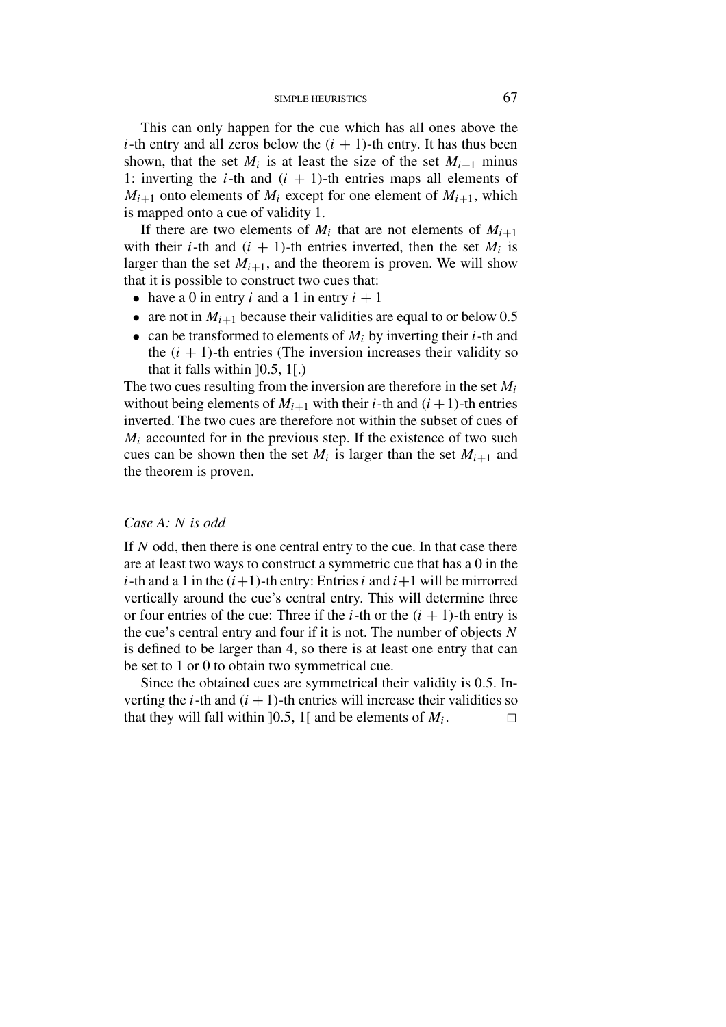This can only happen for the cue which has all ones above the *i*-th entry and all zeros below the  $(i + 1)$ -th entry. It has thus been shown, that the set  $M_i$  is at least the size of the set  $M_{i+1}$  minus 1: inverting the *i*-th and  $(i + 1)$ -th entries maps all elements of  $M_{i+1}$  onto elements of  $M_i$  except for one element of  $M_{i+1}$ , which is mapped onto a cue of validity 1.

If there are two elements of  $M_i$  that are not elements of  $M_{i+1}$ with their *i*-th and  $(i + 1)$ -th entries inverted, then the set  $M_i$  is larger than the set  $M_{i+1}$ , and the theorem is proven. We will show that it is possible to construct two cues that:

- have a 0 in entry i and a 1 in entry  $i + 1$
- are not in  $M_{i+1}$  because their validities are equal to or below 0.5
- can be transformed to elements of  $M_i$  by inverting their *i*-th and the  $(i + 1)$ -th entries (The inversion increases their validity so that it falls within ]0.5, 1[.)

The two cues resulting from the inversion are therefore in the set  $M_i$ without being elements of  $M_{i+1}$  with their i-th and  $(i + 1)$ -th entries inverted. The two cues are therefore not within the subset of cues of  $M_i$  accounted for in the previous step. If the existence of two such cues can be shown then the set  $M_i$  is larger than the set  $M_{i+1}$  and the theorem is proven.

### *Case A:* N *is odd*

If  $N$  odd, then there is one central entry to the cue. In that case there are at least two ways to construct a symmetric cue that has a 0 in the *i*-th and a 1 in the  $(i+1)$ -th entry: Entries *i* and  $i+1$  will be mirrorred vertically around the cue's central entry. This will determine three or four entries of the cue: Three if the *i*-th or the  $(i + 1)$ -th entry is the cue's central entry and four if it is not. The number of objects  $N$ is defined to be larger than 4, so there is at least one entry that can be set to 1 or 0 to obtain two symmetrical cue.

Since the obtained cues are symmetrical their validity is 0.5. Inverting the *i*-th and  $(i + 1)$ -th entries will increase their validities so that they will fall within 10.5. 11 and be elements of  $M_i$ . that they will fall within [0.5, 1] and be elements of  $M_i$ .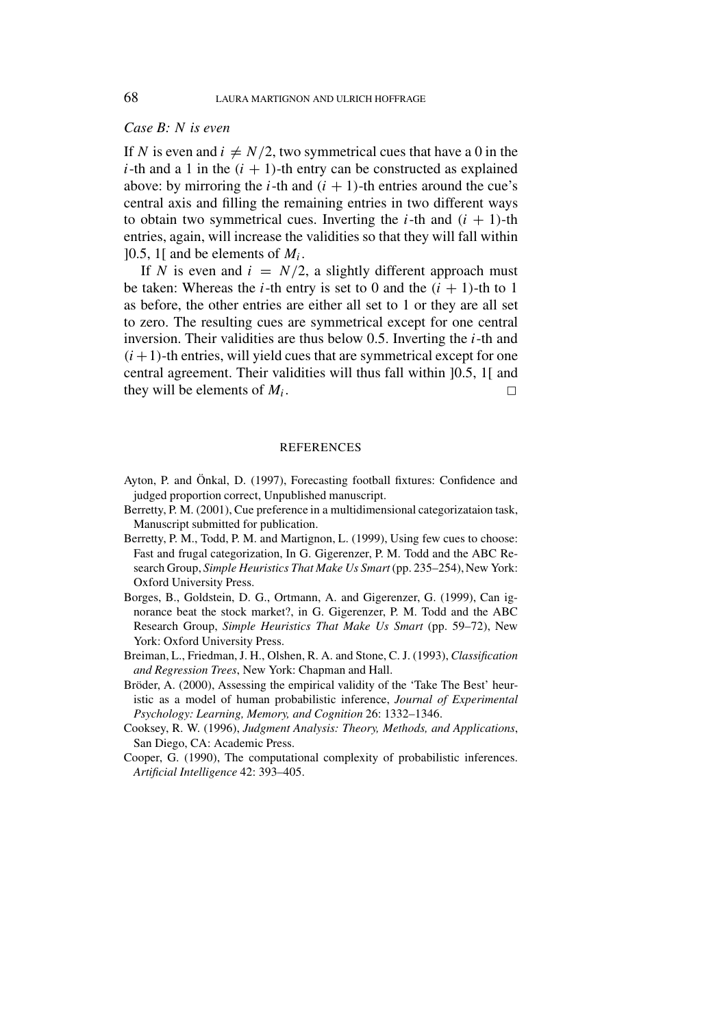# *Case B:* N *is even*

If N is even and  $i \neq N/2$ , two symmetrical cues that have a 0 in the  $i$ -th and a 1 in the  $(i + 1)$ -th entry can be constructed as explained above: by mirroring the *i*-th and  $(i + 1)$ -th entries around the cue's central axis and filling the remaining entries in two different ways to obtain two symmetrical cues. Inverting the *i*-th and  $(i + 1)$ -th entries, again, will increase the validities so that they will fall within [0.5, 1] and be elements of  $M_i$ .

If N is even and  $i = N/2$ , a slightly different approach must be taken: Whereas the *i*-th entry is set to 0 and the  $(i + 1)$ -th to 1 as before, the other entries are either all set to 1 or they are all set to zero. The resulting cues are symmetrical except for one central inversion. Their validities are thus below  $0.5$ . Inverting the *i*-th and  $(i + 1)$ -th entries, will yield cues that are symmetrical except for one central agreement. Their validities will thus fall within ]0.5, 1[ and they will be elements of  $M_i$ .

#### REFERENCES

- Ayton, P. and Önkal, D. (1997), Forecasting football fixtures: Confidence and judged proportion correct, Unpublished manuscript.
- Berretty, P. M. (2001), Cue preference in a multidimensional categorizataion task, Manuscript submitted for publication.
- Berretty, P. M., Todd, P. M. and Martignon, L. (1999), Using few cues to choose: Fast and frugal categorization, In G. Gigerenzer, P. M. Todd and the ABC Research Group, *Simple Heuristics That Make Us Smart* (pp. 235–254), New York: Oxford University Press.
- Borges, B., Goldstein, D. G., Ortmann, A. and Gigerenzer, G. (1999), Can ignorance beat the stock market?, in G. Gigerenzer, P. M. Todd and the ABC Research Group, *Simple Heuristics That Make Us Smart* (pp. 59–72), New York: Oxford University Press.
- Breiman, L., Friedman, J. H., Olshen, R. A. and Stone, C. J. (1993), *Classification and Regression Trees*, New York: Chapman and Hall.
- Bröder, A. (2000), Assessing the empirical validity of the 'Take The Best' heuristic as a model of human probabilistic inference, *Journal of Experimental Psychology: Learning, Memory, and Cognition* 26: 1332–1346.
- Cooksey, R. W. (1996), *Judgment Analysis: Theory, Methods, and Applications*, San Diego, CA: Academic Press.
- Cooper, G. (1990), The computational complexity of probabilistic inferences. *Artificial Intelligence* 42: 393–405.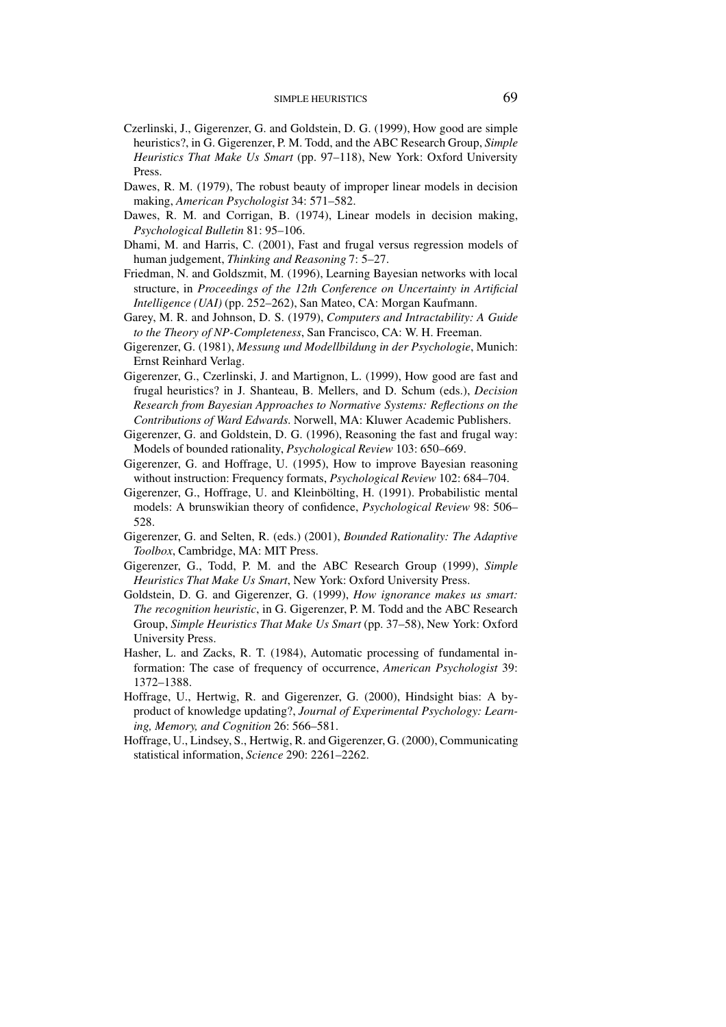- Czerlinski, J., Gigerenzer, G. and Goldstein, D. G. (1999), How good are simple heuristics?, in G. Gigerenzer, P. M. Todd, and the ABC Research Group, *Simple Heuristics That Make Us Smart* (pp. 97–118), New York: Oxford University Press.
- Dawes, R. M. (1979), The robust beauty of improper linear models in decision making, *American Psychologist* 34: 571–582.
- Dawes, R. M. and Corrigan, B. (1974), Linear models in decision making, *Psychological Bulletin* 81: 95–106.
- Dhami, M. and Harris, C. (2001), Fast and frugal versus regression models of human judgement, *Thinking and Reasoning* 7: 5–27.
- Friedman, N. and Goldszmit, M. (1996), Learning Bayesian networks with local structure, in *Proceedings of the 12th Conference on Uncertainty in Artificial Intelligence (UAI)* (pp. 252–262), San Mateo, CA: Morgan Kaufmann.
- Garey, M. R. and Johnson, D. S. (1979), *Computers and Intractability: A Guide to the Theory of NP-Completeness*, San Francisco, CA: W. H. Freeman.
- Gigerenzer, G. (1981), *Messung und Modellbildung in der Psychologie*, Munich: Ernst Reinhard Verlag.
- Gigerenzer, G., Czerlinski, J. and Martignon, L. (1999), How good are fast and frugal heuristics? in J. Shanteau, B. Mellers, and D. Schum (eds.), *Decision Research from Bayesian Approaches to Normative Systems: Reflections on the Contributions of Ward Edwards*. Norwell, MA: Kluwer Academic Publishers.
- Gigerenzer, G. and Goldstein, D. G. (1996), Reasoning the fast and frugal way: Models of bounded rationality, *Psychological Review* 103: 650–669.
- Gigerenzer, G. and Hoffrage, U. (1995), How to improve Bayesian reasoning without instruction: Frequency formats, *Psychological Review* 102: 684–704.
- Gigerenzer, G., Hoffrage, U. and Kleinbölting, H. (1991). Probabilistic mental models: A brunswikian theory of confidence, *Psychological Review* 98: 506– 528.
- Gigerenzer, G. and Selten, R. (eds.) (2001), *Bounded Rationality: The Adaptive Toolbox*, Cambridge, MA: MIT Press.
- Gigerenzer, G., Todd, P. M. and the ABC Research Group (1999), *Simple Heuristics That Make Us Smart*, New York: Oxford University Press.
- Goldstein, D. G. and Gigerenzer, G. (1999), *How ignorance makes us smart: The recognition heuristic*, in G. Gigerenzer, P. M. Todd and the ABC Research Group, *Simple Heuristics That Make Us Smart* (pp. 37–58), New York: Oxford University Press.
- Hasher, L. and Zacks, R. T. (1984), Automatic processing of fundamental information: The case of frequency of occurrence, *American Psychologist* 39: 1372–1388.
- Hoffrage, U., Hertwig, R. and Gigerenzer, G. (2000), Hindsight bias: A byproduct of knowledge updating?, *Journal of Experimental Psychology: Learning, Memory, and Cognition* 26: 566–581.
- Hoffrage, U., Lindsey, S., Hertwig, R. and Gigerenzer, G. (2000), Communicating statistical information, *Science* 290: 2261–2262.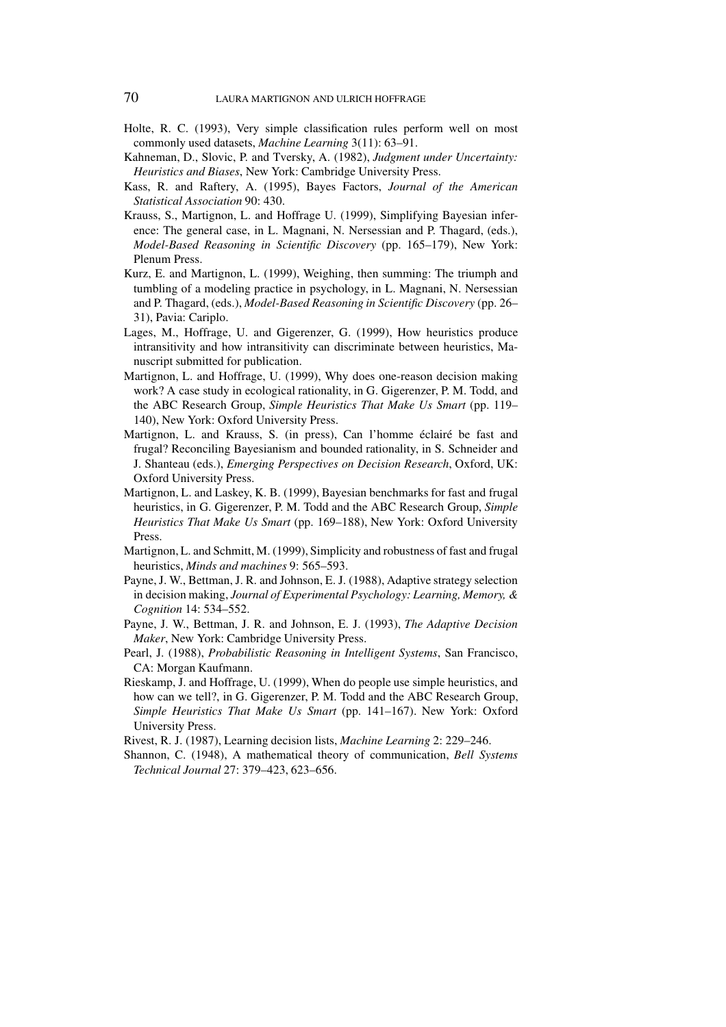- Holte, R. C. (1993), Very simple classification rules perform well on most commonly used datasets, *Machine Learning* 3(11): 63–91.
- Kahneman, D., Slovic, P. and Tversky, A. (1982), *Judgment under Uncertainty: Heuristics and Biases*, New York: Cambridge University Press.
- Kass, R. and Raftery, A. (1995), Bayes Factors, *Journal of the American Statistical Association* 90: 430.
- Krauss, S., Martignon, L. and Hoffrage U. (1999), Simplifying Bayesian inference: The general case, in L. Magnani, N. Nersessian and P. Thagard, (eds.), *Model-Based Reasoning in Scientific Discovery* (pp. 165–179), New York: Plenum Press.
- Kurz, E. and Martignon, L. (1999), Weighing, then summing: The triumph and tumbling of a modeling practice in psychology, in L. Magnani, N. Nersessian and P. Thagard, (eds.), *Model-Based Reasoning in Scientific Discovery* (pp. 26– 31), Pavia: Cariplo.
- Lages, M., Hoffrage, U. and Gigerenzer, G. (1999), How heuristics produce intransitivity and how intransitivity can discriminate between heuristics, Manuscript submitted for publication.
- Martignon, L. and Hoffrage, U. (1999), Why does one-reason decision making work? A case study in ecological rationality, in G. Gigerenzer, P. M. Todd, and the ABC Research Group, *Simple Heuristics That Make Us Smart* (pp. 119– 140), New York: Oxford University Press.
- Martignon, L. and Krauss, S. (in press), Can l'homme éclairé be fast and frugal? Reconciling Bayesianism and bounded rationality, in S. Schneider and J. Shanteau (eds.), *Emerging Perspectives on Decision Research*, Oxford, UK: Oxford University Press.
- Martignon, L. and Laskey, K. B. (1999), Bayesian benchmarks for fast and frugal heuristics, in G. Gigerenzer, P. M. Todd and the ABC Research Group, *Simple Heuristics That Make Us Smart* (pp. 169–188), New York: Oxford University Press.
- Martignon, L. and Schmitt, M. (1999), Simplicity and robustness of fast and frugal heuristics, *Minds and machines* 9: 565–593.
- Payne, J. W., Bettman, J. R. and Johnson, E. J. (1988), Adaptive strategy selection in decision making, *Journal of Experimental Psychology: Learning, Memory, & Cognition* 14: 534–552.
- Payne, J. W., Bettman, J. R. and Johnson, E. J. (1993), *The Adaptive Decision Maker*, New York: Cambridge University Press.
- Pearl, J. (1988), *Probabilistic Reasoning in Intelligent Systems*, San Francisco, CA: Morgan Kaufmann.
- Rieskamp, J. and Hoffrage, U. (1999), When do people use simple heuristics, and how can we tell?, in G. Gigerenzer, P. M. Todd and the ABC Research Group, *Simple Heuristics That Make Us Smart* (pp. 141–167). New York: Oxford University Press.
- Rivest, R. J. (1987), Learning decision lists, *Machine Learning* 2: 229–246.
- Shannon, C. (1948), A mathematical theory of communication, *Bell Systems Technical Journal* 27: 379–423, 623–656.